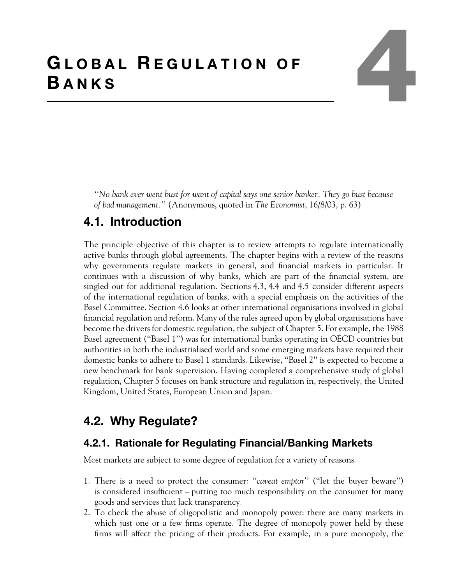

*''No bank ever went bust for want of capital says one senior banker. They go bust because of bad management.''* (Anonymous, quoted in *The Economist*, 16/8/03, p. 63)

# **4.1. Introduction**

The principle objective of this chapter is to review attempts to regulate internationally active banks through global agreements. The chapter begins with a review of the reasons why governments regulate markets in general, and financial markets in particular. It continues with a discussion of why banks, which are part of the financial system, are singled out for additional regulation. Sections 4.3, 4.4 and 4.5 consider different aspects of the international regulation of banks, with a special emphasis on the activities of the Basel Committee. Section 4.6 looks at other international organisations involved in global financial regulation and reform. Many of the rules agreed upon by global organisations have become the drivers for domestic regulation, the subject of Chapter 5. For example, the 1988 Basel agreement (''Basel 1'') was for international banks operating in OECD countries but authorities in both the industrialised world and some emerging markets have required their domestic banks to adhere to Basel 1 standards. Likewise, ''Basel 2'' is expected to become a new benchmark for bank supervision. Having completed a comprehensive study of global regulation, Chapter 5 focuses on bank structure and regulation in, respectively, the United Kingdom, United States, European Union and Japan.

# **4.2. Why Regulate?**

## **4.2.1. Rationale for Regulating Financial/Banking Markets**

Most markets are subject to some degree of regulation for a variety of reasons.

- 1. There is a need to protect the consumer: *''caveat emptor''* (''let the buyer beware'') is considered insufficient – putting too much responsibility on the consumer for many goods and services that lack transparency.
- 2. To check the abuse of oligopolistic and monopoly power: there are many markets in which just one or a few firms operate. The degree of monopoly power held by these firms will affect the pricing of their products. For example, in a pure monopoly, the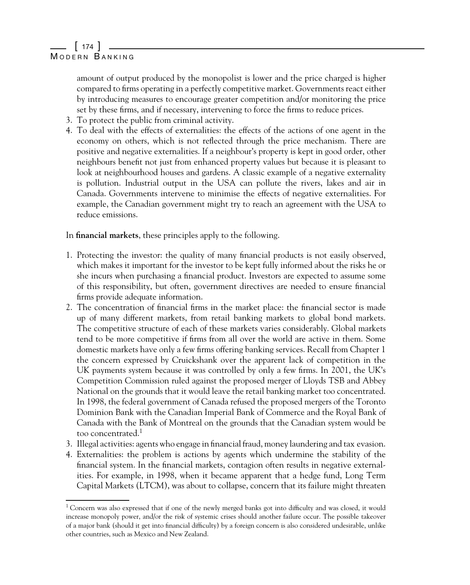### [ <sup>174</sup> ] M ODERN B ANKING

amount of output produced by the monopolist is lower and the price charged is higher compared to firms operating in a perfectly competitive market. Governments react either by introducing measures to encourage greater competition and/or monitoring the price set by these firms, and if necessary, intervening to force the firms to reduce prices.

- 3. To protect the public from criminal activity.
- 4. To deal with the effects of externalities: the effects of the actions of one agent in the economy on others, which is not reflected through the price mechanism. There are positive and negative externalities. If a neighbour's property is kept in good order, other neighbours benefit not just from enhanced property values but because it is pleasant to look at neighbourhood houses and gardens. A classic example of a negative externality is pollution. Industrial output in the USA can pollute the rivers, lakes and air in Canada. Governments intervene to minimise the effects of negative externalities. For example, the Canadian government might try to reach an agreement with the USA to reduce emissions.

In **financial markets**, these principles apply to the following.

- 1. Protecting the investor: the quality of many financial products is not easily observed, which makes it important for the investor to be kept fully informed about the risks he or she incurs when purchasing a financial product. Investors are expected to assume some of this responsibility, but often, government directives are needed to ensure financial firms provide adequate information.
- 2. The concentration of financial firms in the market place: the financial sector is made up of many different markets, from retail banking markets to global bond markets. The competitive structure of each of these markets varies considerably. Global markets tend to be more competitive if firms from all over the world are active in them. Some domestic markets have only a few firms offering banking services. Recall from Chapter 1 the concern expressed by Cruickshank over the apparent lack of competition in the UK payments system because it was controlled by only a few firms. In 2001, the UK's Competition Commission ruled against the proposed merger of Lloyds TSB and Abbey National on the grounds that it would leave the retail banking market too concentrated. In 1998, the federal government of Canada refused the proposed mergers of the Toronto Dominion Bank with the Canadian Imperial Bank of Commerce and the Royal Bank of Canada with the Bank of Montreal on the grounds that the Canadian system would be too concentrated.<sup>1</sup>
- 3. Illegal activities: agents who engage in financial fraud, money laundering and tax evasion.
- 4. Externalities: the problem is actions by agents which undermine the stability of the financial system. In the financial markets, contagion often results in negative externalities. For example, in 1998, when it became apparent that a hedge fund, Long Term Capital Markets (LTCM), was about to collapse, concern that its failure might threaten

<sup>&</sup>lt;sup>1</sup> Concern was also expressed that if one of the newly merged banks got into difficulty and was closed, it would increase monopoly power, and/or the risk of systemic crises should another failure occur. The possible takeover of a major bank (should it get into financial difficulty) by a foreign concern is also considered undesirable, unlike other countries, such as Mexico and New Zealand.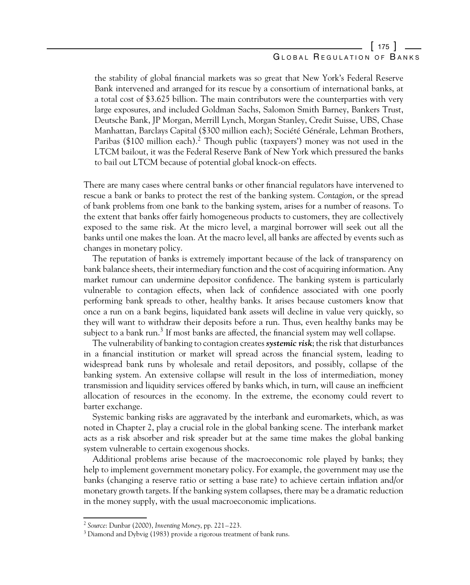### [ <sup>175</sup> ] GLOBAL REGULATION OF BANKS

the stability of global financial markets was so great that New York's Federal Reserve Bank intervened and arranged for its rescue by a consortium of international banks, at a total cost of \$3.625 billion. The main contributors were the counterparties with very large exposures, and included Goldman Sachs, Salomon Smith Barney, Bankers Trust, Deutsche Bank, JP Morgan, Merrill Lynch, Morgan Stanley, Credit Suisse, UBS, Chase Manhattan, Barclays Capital (\$300 million each); Société Générale, Lehman Brothers, Paribas (\$100 million each).<sup>2</sup> Though public (taxpayers') money was not used in the LTCM bailout, it was the Federal Reserve Bank of New York which pressured the banks to bail out LTCM because of potential global knock-on effects.

There are many cases where central banks or other financial regulators have intervened to rescue a bank or banks to protect the rest of the banking system. *Contagion*, or the spread of bank problems from one bank to the banking system, arises for a number of reasons. To the extent that banks offer fairly homogeneous products to customers, they are collectively exposed to the same risk. At the micro level, a marginal borrower will seek out all the banks until one makes the loan. At the macro level, all banks are affected by events such as changes in monetary policy.

The reputation of banks is extremely important because of the lack of transparency on bank balance sheets, their intermediary function and the cost of acquiring information. Any market rumour can undermine depositor confidence. The banking system is particularly vulnerable to contagion effects, when lack of confidence associated with one poorly performing bank spreads to other, healthy banks. It arises because customers know that once a run on a bank begins, liquidated bank assets will decline in value very quickly, so they will want to withdraw their deposits before a run. Thus, even healthy banks may be subject to a bank run.<sup>3</sup> If most banks are affected, the financial system may well collapse.

The vulnerability of banking to contagion creates*systemic risk*; the risk that disturbances in a financial institution or market will spread across the financial system, leading to widespread bank runs by wholesale and retail depositors, and possibly, collapse of the banking system. An extensive collapse will result in the loss of intermediation, money transmission and liquidity services offered by banks which, in turn, will cause an inefficient allocation of resources in the economy. In the extreme, the economy could revert to barter exchange.

Systemic banking risks are aggravated by the interbank and euromarkets, which, as was noted in Chapter 2, play a crucial role in the global banking scene. The interbank market acts as a risk absorber and risk spreader but at the same time makes the global banking system vulnerable to certain exogenous shocks.

Additional problems arise because of the macroeconomic role played by banks; they help to implement government monetary policy. For example, the government may use the banks (changing a reserve ratio or setting a base rate) to achieve certain inflation and/or monetary growth targets. If the banking system collapses, there may be a dramatic reduction in the money supply, with the usual macroeconomic implications.

<sup>2</sup> *Source*: Dunbar (2000), *Inventing Money*, pp. 221–223.

<sup>&</sup>lt;sup>3</sup> Diamond and Dybvig (1983) provide a rigorous treatment of bank runs.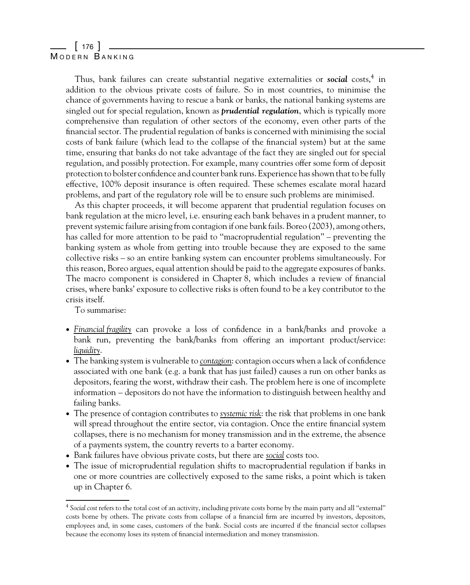### [ <sup>176</sup> ] MODERN BANKING

Thus, bank failures can create substantial negative externalities or **social** costs,<sup>4</sup> in addition to the obvious private costs of failure. So in most countries, to minimise the chance of governments having to rescue a bank or banks, the national banking systems are singled out for special regulation, known as *prudential regulation*, which is typically more comprehensive than regulation of other sectors of the economy, even other parts of the financial sector. The prudential regulation of banks is concerned with minimising the social costs of bank failure (which lead to the collapse of the financial system) but at the same time, ensuring that banks do not take advantage of the fact they are singled out for special regulation, and possibly protection. For example, many countries offer some form of deposit protection to bolster confidence and counter bank runs. Experience has shown that to be fully effective, 100% deposit insurance is often required. These schemes escalate moral hazard problems, and part of the regulatory role will be to ensure such problems are minimised.

As this chapter proceeds, it will become apparent that prudential regulation focuses on bank regulation at the micro level, i.e. ensuring each bank behaves in a prudent manner, to prevent systemic failure arising from contagion if one bank fails. Boreo (2003), among others, has called for more attention to be paid to ''macroprudential regulation'' – preventing the banking system as whole from getting into trouble because they are exposed to the same collective risks – so an entire banking system can encounter problems simultaneously. For this reason, Boreo argues, equal attention should be paid to the aggregate exposures of banks. The macro component is considered in Chapter 8, which includes a review of financial crises, where banks' exposure to collective risks is often found to be a key contributor to the crisis itself.

To summarise:

- <sup>ž</sup> *Financial fragility* can provoke a loss of confidence in a bank/banks and provoke a bank run, preventing the bank/banks from offering an important product/service: *liquidity*.
- <sup>ž</sup> The banking system is vulnerable to *contagion*: contagion occurs when a lack of confidence associated with one bank (e.g. a bank that has just failed) causes a run on other banks as depositors, fearing the worst, withdraw their cash. The problem here is one of incomplete information – depositors do not have the information to distinguish between healthy and failing banks.
- <sup>ž</sup> The presence of contagion contributes to *systemic risk*: the risk that problems in one bank will spread throughout the entire sector, via contagion. Once the entire financial system collapses, there is no mechanism for money transmission and in the extreme, the absence of a payments system, the country reverts to a barter economy.
- <sup>ž</sup> Bank failures have obvious private costs, but there are *social* costs too.
- The issue of microprudential regulation shifts to macroprudential regulation if banks in one or more countries are collectively exposed to the same risks, a point which is taken up in Chapter 6.

<sup>4</sup> *Social cost* refers to the total cost of an activity, including private costs borne by the main party and all ''external'' costs borne by others. The private costs from collapse of a financial firm are incurred by investors, depositors, employees and, in some cases, customers of the bank. Social costs are incurred if the financial sector collapses because the economy loses its system of financial intermediation and money transmission.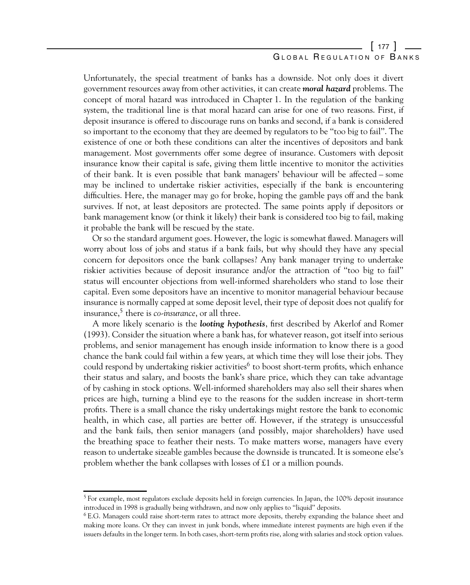### [ <sup>177</sup> ] GLOBAL REGULATION OF BANKS

Unfortunately, the special treatment of banks has a downside. Not only does it divert government resources away from other activities, it can create *moral hazard* problems. The concept of moral hazard was introduced in Chapter 1. In the regulation of the banking system, the traditional line is that moral hazard can arise for one of two reasons. First, if deposit insurance is offered to discourage runs on banks and second, if a bank is considered so important to the economy that they are deemed by regulators to be ''too big to fail''. The existence of one or both these conditions can alter the incentives of depositors and bank management. Most governments offer some degree of insurance. Customers with deposit insurance know their capital is safe, giving them little incentive to monitor the activities of their bank. It is even possible that bank managers' behaviour will be affected – some may be inclined to undertake riskier activities, especially if the bank is encountering difficulties. Here, the manager may go for broke, hoping the gamble pays off and the bank survives. If not, at least depositors are protected. The same points apply if depositors or bank management know (or think it likely) their bank is considered too big to fail, making it probable the bank will be rescued by the state.

Or so the standard argument goes. However, the logic is somewhat flawed. Managers will worry about loss of jobs and status if a bank fails, but why should they have any special concern for depositors once the bank collapses? Any bank manager trying to undertake riskier activities because of deposit insurance and/or the attraction of ''too big to fail'' status will encounter objections from well-informed shareholders who stand to lose their capital. Even some depositors have an incentive to monitor managerial behaviour because insurance is normally capped at some deposit level, their type of deposit does not qualify for insurance,<sup>5</sup> there is *co-insurance*, or all three.

A more likely scenario is the *looting hypothesis*, first described by Akerlof and Romer (1993). Consider the situation where a bank has, for whatever reason, got itself into serious problems, and senior management has enough inside information to know there is a good chance the bank could fail within a few years, at which time they will lose their jobs. They could respond by undertaking riskier activities<sup>6</sup> to boost short-term profits, which enhance their status and salary, and boosts the bank's share price, which they can take advantage of by cashing in stock options. Well-informed shareholders may also sell their shares when prices are high, turning a blind eye to the reasons for the sudden increase in short-term profits. There is a small chance the risky undertakings might restore the bank to economic health, in which case, all parties are better off. However, if the strategy is unsuccessful and the bank fails, then senior managers (and possibly, major shareholders) have used the breathing space to feather their nests. To make matters worse, managers have every reason to undertake sizeable gambles because the downside is truncated. It is someone else's problem whether the bank collapses with losses of £1 or a million pounds.

<sup>&</sup>lt;sup>5</sup> For example, most regulators exclude deposits held in foreign currencies. In Japan, the 100% deposit insurance introduced in 1998 is gradually being withdrawn, and now only applies to ''liquid'' deposits.

<sup>6</sup> E.G. Managers could raise short-term rates to attract more deposits, thereby expanding the balance sheet and making more loans. Or they can invest in junk bonds, where immediate interest payments are high even if the issuers defaults in the longer term. In both cases, short-term profits rise, along with salaries and stock option values.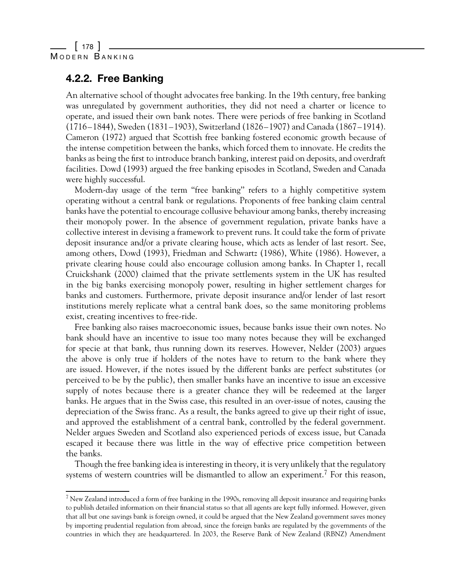[ <sup>178</sup> ] M ODERN B ANKING

#### **4.2.2. Free Banking**

An alternative school of thought advocates free banking. In the 19th century, free banking was unregulated by government authorities, they did not need a charter or licence to operate, and issued their own bank notes. There were periods of free banking in Scotland (1716–1844), Sweden (1831–1903), Switzerland (1826–1907) and Canada (1867–1914). Cameron (1972) argued that Scottish free banking fostered economic growth because of the intense competition between the banks, which forced them to innovate. He credits the banks as being the first to introduce branch banking, interest paid on deposits, and overdraft facilities. Dowd (1993) argued the free banking episodes in Scotland, Sweden and Canada were highly successful.

Modern-day usage of the term ''free banking'' refers to a highly competitive system operating without a central bank or regulations. Proponents of free banking claim central banks have the potential to encourage collusive behaviour among banks, thereby increasing their monopoly power. In the absence of government regulation, private banks have a collective interest in devising a framework to prevent runs. It could take the form of private deposit insurance and/or a private clearing house, which acts as lender of last resort. See, among others, Dowd (1993), Friedman and Schwartz (1986), White (1986). However, a private clearing house could also encourage collusion among banks. In Chapter 1, recall Cruickshank (2000) claimed that the private settlements system in the UK has resulted in the big banks exercising monopoly power, resulting in higher settlement charges for banks and customers. Furthermore, private deposit insurance and/or lender of last resort institutions merely replicate what a central bank does, so the same monitoring problems exist, creating incentives to free-ride.

Free banking also raises macroeconomic issues, because banks issue their own notes. No bank should have an incentive to issue too many notes because they will be exchanged for specie at that bank, thus running down its reserves. However, Nelder (2003) argues the above is only true if holders of the notes have to return to the bank where they are issued. However, if the notes issued by the different banks are perfect substitutes (or perceived to be by the public), then smaller banks have an incentive to issue an excessive supply of notes because there is a greater chance they will be redeemed at the larger banks. He argues that in the Swiss case, this resulted in an over-issue of notes, causing the depreciation of the Swiss franc. As a result, the banks agreed to give up their right of issue, and approved the establishment of a central bank, controlled by the federal government. Nelder argues Sweden and Scotland also experienced periods of excess issue, but Canada escaped it because there was little in the way of effective price competition between the banks.

Though the free banking idea is interesting in theory, it is very unlikely that the regulatory systems of western countries will be dismantled to allow an experiment.<sup>7</sup> For this reason,

 $7$  New Zealand introduced a form of free banking in the 1990s, removing all deposit insurance and requiring banks to publish detailed information on their financial status so that all agents are kept fully informed. However, given that all but one savings bank is foreign owned, it could be argued that the New Zealand government saves money by importing prudential regulation from abroad, since the foreign banks are regulated by the governments of the countries in which they are headquartered. In 2003, the Reserve Bank of New Zealand (RBNZ) Amendment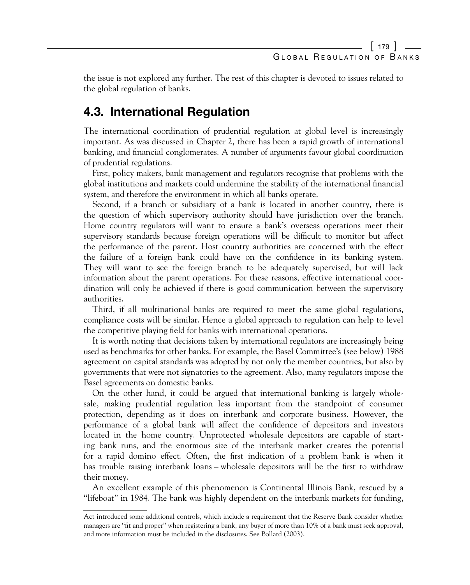the issue is not explored any further. The rest of this chapter is devoted to issues related to the global regulation of banks.

## **4.3. International Regulation**

The international coordination of prudential regulation at global level is increasingly important. As was discussed in Chapter 2, there has been a rapid growth of international banking, and financial conglomerates. A number of arguments favour global coordination of prudential regulations.

First, policy makers, bank management and regulators recognise that problems with the global institutions and markets could undermine the stability of the international financial system, and therefore the environment in which all banks operate.

Second, if a branch or subsidiary of a bank is located in another country, there is the question of which supervisory authority should have jurisdiction over the branch. Home country regulators will want to ensure a bank's overseas operations meet their supervisory standards because foreign operations will be difficult to monitor but affect the performance of the parent. Host country authorities are concerned with the effect the failure of a foreign bank could have on the confidence in its banking system. They will want to see the foreign branch to be adequately supervised, but will lack information about the parent operations. For these reasons, effective international coordination will only be achieved if there is good communication between the supervisory authorities.

Third, if all multinational banks are required to meet the same global regulations, compliance costs will be similar. Hence a global approach to regulation can help to level the competitive playing field for banks with international operations.

It is worth noting that decisions taken by international regulators are increasingly being used as benchmarks for other banks. For example, the Basel Committee's (see below) 1988 agreement on capital standards was adopted by not only the member countries, but also by governments that were not signatories to the agreement. Also, many regulators impose the Basel agreements on domestic banks.

On the other hand, it could be argued that international banking is largely wholesale, making prudential regulation less important from the standpoint of consumer protection, depending as it does on interbank and corporate business. However, the performance of a global bank will affect the confidence of depositors and investors located in the home country. Unprotected wholesale depositors are capable of starting bank runs, and the enormous size of the interbank market creates the potential for a rapid domino effect. Often, the first indication of a problem bank is when it has trouble raising interbank loans – wholesale depositors will be the first to withdraw their money.

An excellent example of this phenomenon is Continental Illinois Bank, rescued by a ''lifeboat'' in 1984. The bank was highly dependent on the interbank markets for funding,

Act introduced some additional controls, which include a requirement that the Reserve Bank consider whether managers are ''fit and proper'' when registering a bank, any buyer of more than 10% of a bank must seek approval, and more information must be included in the disclosures. See Bollard (2003).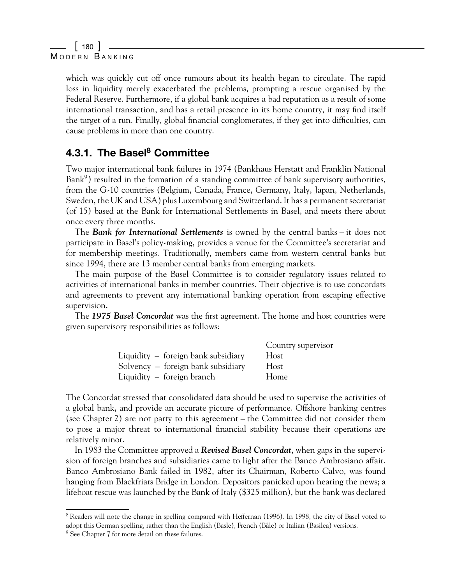which was quickly cut off once rumours about its health began to circulate. The rapid loss in liquidity merely exacerbated the problems, prompting a rescue organised by the Federal Reserve. Furthermore, if a global bank acquires a bad reputation as a result of some international transaction, and has a retail presence in its home country, it may find itself the target of a run. Finally, global financial conglomerates, if they get into difficulties, can cause problems in more than one country.

## **4.3.1. The Basel<sup>8</sup> Committee**

Two major international bank failures in 1974 (Bankhaus Herstatt and Franklin National Bank $^{9}$ ) resulted in the formation of a standing committee of bank supervisory authorities, from the G-10 countries (Belgium, Canada, France, Germany, Italy, Japan, Netherlands, Sweden, the UK and USA) plus Luxembourg and Switzerland. It has a permanent secretariat (of 15) based at the Bank for International Settlements in Basel, and meets there about once every three months.

The *Bank for International Settlements* is owned by the central banks – it does not participate in Basel's policy-making, provides a venue for the Committee's secretariat and for membership meetings. Traditionally, members came from western central banks but since 1994, there are 13 member central banks from emerging markets.

The main purpose of the Basel Committee is to consider regulatory issues related to activities of international banks in member countries. Their objective is to use concordats and agreements to prevent any international banking operation from escaping effective supervision.

The *1975 Basel Concordat* was the first agreement. The home and host countries were given supervisory responsibilities as follows:

|                                     | Country supervisor |
|-------------------------------------|--------------------|
| Liquidity – foreign bank subsidiary | Host               |
| Solvency – foreign bank subsidiary  | Host               |
| Liquidity – foreign branch          | Home               |

The Concordat stressed that consolidated data should be used to supervise the activities of a global bank, and provide an accurate picture of performance. Offshore banking centres (see Chapter 2) are not party to this agreement – the Committee did not consider them to pose a major threat to international financial stability because their operations are relatively minor.

In 1983 the Committee approved a *Revised Basel Concordat*, when gaps in the supervision of foreign branches and subsidiaries came to light after the Banco Ambrosiano affair. Banco Ambrosiano Bank failed in 1982, after its Chairman, Roberto Calvo, was found hanging from Blackfriars Bridge in London. Depositors panicked upon hearing the news; a lifeboat rescue was launched by the Bank of Italy (\$325 million), but the bank was declared

<sup>8</sup> Readers will note the change in spelling compared with Heffernan (1996). In 1998, the city of Basel voted to adopt this German spelling, rather than the English (Basle), French (Bâle) or Italian (Basilea) versions. <sup>9</sup> See Chapter 7 for more detail on these failures.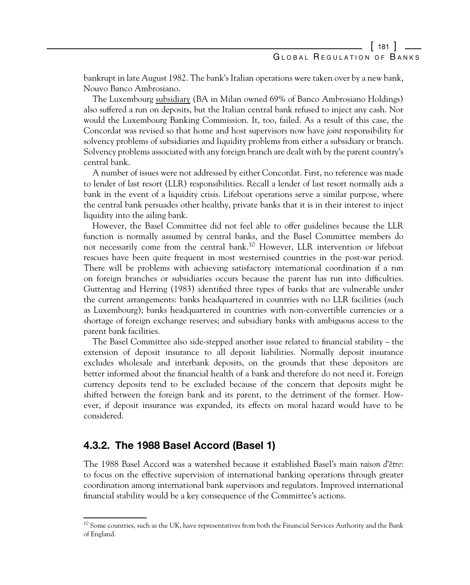bankrupt in late August 1982. The bank's Italian operations were taken over by a new bank, Nouvo Banco Ambrosiano.

The Luxembourg subsidiary (BA in Milan owned 69% of Banco Ambrosiano Holdings) also suffered a run on deposits, but the Italian central bank refused to inject any cash. Nor would the Luxembourg Banking Commission. It, too, failed. As a result of this case, the Concordat was revised so that home and host supervisors now have *joint* responsibility for solvency problems of subsidiaries and liquidity problems from either a subsidiary or branch. Solvency problems associated with any foreign branch are dealt with by the parent country's central bank.

A number of issues were not addressed by either Concordat. First, no reference was made to lender of last resort (LLR) responsibilities. Recall a lender of last resort normally aids a bank in the event of a liquidity crisis. Lifeboat operations serve a similar purpose, where the central bank persuades other healthy, private banks that it is in their interest to inject liquidity into the ailing bank.

However, the Basel Committee did not feel able to offer guidelines because the LLR function is normally assumed by central banks, and the Basel Committee members do not necessarily come from the central bank.<sup>10</sup> However, LLR intervention or lifeboat rescues have been quite frequent in most westernised countries in the post-war period. There will be problems with achieving satisfactory international coordination if a run on foreign branches or subsidiaries occurs because the parent has run into difficulties. Guttentag and Herring (1983) identified three types of banks that are vulnerable under the current arrangements: banks headquartered in countries with no LLR facilities (such as Luxembourg); banks headquartered in countries with non-convertible currencies or a shortage of foreign exchange reserves; and subsidiary banks with ambiguous access to the parent bank facilities.

The Basel Committee also side-stepped another issue related to financial stability – the extension of deposit insurance to all deposit liabilities. Normally deposit insurance excludes wholesale and interbank deposits, on the grounds that these depositors are better informed about the financial health of a bank and therefore do not need it. Foreign currency deposits tend to be excluded because of the concern that deposits might be shifted between the foreign bank and its parent, to the detriment of the former. However, if deposit insurance was expanded, its effects on moral hazard would have to be considered.

### **4.3.2. The 1988 Basel Accord (Basel 1)**

The 1988 Basel Accord was a watershed because it established Basel's main *raison d*'*etre ˆ* : to focus on the effective supervision of international banking operations through greater coordination among international bank supervisors and regulators. Improved international financial stability would be a key consequence of the Committee's actions.

<sup>&</sup>lt;sup>10</sup> Some countries, such as the UK, have representatives from both the Financial Services Authority and the Bank of England.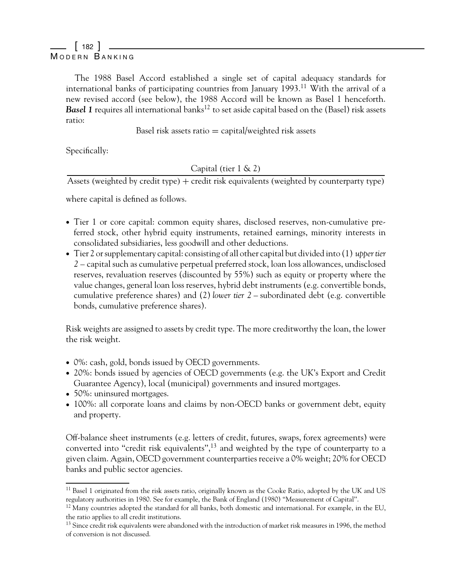#### [ <sup>182</sup> ] M ODERN B ANKING

The 1988 Basel Accord established a single set of capital adequacy standards for international banks of participating countries from January  $1993<sup>11</sup>$  With the arrival of a new revised accord (see below), the 1988 Accord will be known as Basel 1 henceforth. **Basel 1** requires all international banks<sup>12</sup> to set aside capital based on the (Basel) risk assets ratio:

Basel risk assets ratio  $=$  capital/weighted risk assets

Specifically:

Capital (tier 1 & 2)

Assets (weighted by credit type)  $+$  credit risk equivalents (weighted by counterparty type)

where capital is defined as follows.

- Tier 1 or core capital: common equity shares, disclosed reserves, non-cumulative preferred stock, other hybrid equity instruments, retained earnings, minority interests in consolidated subsidiaries, less goodwill and other deductions.
- <sup>ž</sup> Tier 2 or supplementary capital: consisting of all other capital but divided into (1) *upper tier 2* – capital such as cumulative perpetual preferred stock, loan loss allowances, undisclosed reserves, revaluation reserves (discounted by 55%) such as equity or property where the value changes, general loan loss reserves, hybrid debt instruments (e.g. convertible bonds, cumulative preference shares) and (2) *lower tier 2* – subordinated debt (e.g. convertible bonds, cumulative preference shares).

Risk weights are assigned to assets by credit type. The more creditworthy the loan, the lower the risk weight.

- 0%: cash, gold, bonds issued by OECD governments.
- 20%: bonds issued by agencies of OECD governments (e.g. the UK's Export and Credit Guarantee Agency), local (municipal) governments and insured mortgages.
- 50%: uninsured mortgages.
- 100%: all corporate loans and claims by non-OECD banks or government debt, equity and property.

Off-balance sheet instruments (e.g. letters of credit, futures, swaps, forex agreements) were converted into ''credit risk equivalents'',13 and weighted by the type of counterparty to a given claim. Again, OECD government counterparties receive a 0% weight; 20% for OECD banks and public sector agencies.

 $11$  Basel 1 originated from the risk assets ratio, originally known as the Cooke Ratio, adopted by the UK and US regulatory authorities in 1980. See for example, the Bank of England (1980) ''Measurement of Capital''.

 $12$  Many countries adopted the standard for all banks, both domestic and international. For example, in the EU, the ratio applies to all credit institutions.

<sup>&</sup>lt;sup>13</sup> Since credit risk equivalents were abandoned with the introduction of market risk measures in 1996, the method of conversion is not discussed.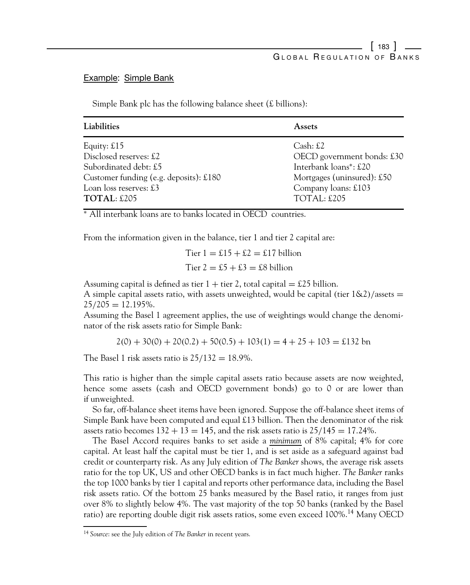#### Example: Simple Bank

Simple Bank plc has the following balance sheet (£ billions):

| Liabilities                            | <b>Assets</b>              |
|----------------------------------------|----------------------------|
| Equity: $£15$                          | Cash: £2                   |
| Disclosed reserves: £2                 | OECD government bonds: £30 |
| Subordinated debt: £5                  | Interbank loans*: £20      |
| Customer funding (e.g. deposits): £180 | Mortgages (uninsured): £50 |
| Loan loss reserves: £3                 | Company loans: £103        |
| TOTAL: £205                            | TOTAL: £205                |

<sup>∗</sup> All interbank loans are to banks located in OECD countries.

From the information given in the balance, tier 1 and tier 2 capital are:

Tier  $1 = \pounds15 + \pounds2 = \pounds17$  billion Tier  $2 = £5 + £3 = £8$  billion

Assuming capital is defined as tier  $1 +$  tier 2, total capital = £25 billion. A simple capital assets ratio, with assets unweighted, would be capital (tier  $1\&2)/$  assets  $=$  $25/205 = 12.195\%$ .

Assuming the Basel 1 agreement applies, the use of weightings would change the denominator of the risk assets ratio for Simple Bank:

$$
2(0) + 30(0) + 20(0.2) + 50(0.5) + 103(1) = 4 + 25 + 103 = \pounds132 \text{ bn}
$$

The Basel 1 risk assets ratio is  $25/132 = 18.9\%$ .

This ratio is higher than the simple capital assets ratio because assets are now weighted, hence some assets (cash and OECD government bonds) go to 0 or are lower than if unweighted.

So far, off-balance sheet items have been ignored. Suppose the off-balance sheet items of Simple Bank have been computed and equal  $£13$  billion. Then the denominator of the risk assets ratio becomes  $132 + 13 = 145$ , and the risk assets ratio is  $25/145 = 17.24\%$ .

The Basel Accord requires banks to set aside a *minimum* of 8% capital; 4% for core capital. At least half the capital must be tier 1, and is set aside as a safeguard against bad credit or counterparty risk. As any July edition of *The Banker* shows, the average risk assets ratio for the top UK, US and other OECD banks is in fact much higher. *The Banker* ranks the top 1000 banks by tier 1 capital and reports other performance data, including the Basel risk assets ratio. Of the bottom 25 banks measured by the Basel ratio, it ranges from just over 8% to slightly below 4%. The vast majority of the top 50 banks (ranked by the Basel ratio) are reporting double digit risk assets ratios, some even exceed 100%.<sup>14</sup> Many OECD

<sup>14</sup> *Source*: see the July edition of *The Banker* in recent years.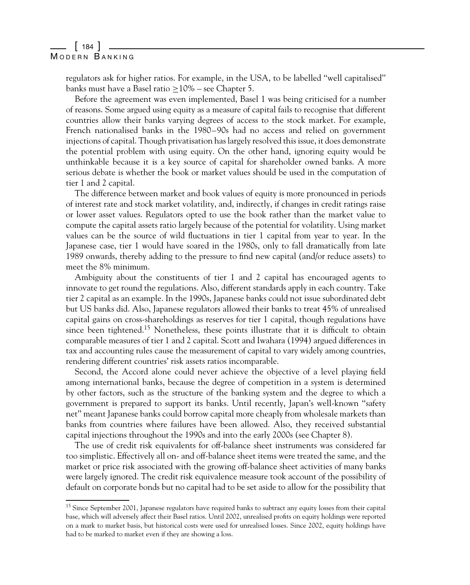#### [ <sup>184</sup> ] M ODERN B ANKING

regulators ask for higher ratios. For example, in the USA, to be labelled ''well capitalised'' banks must have a Basel ratio ≥10% – see Chapter 5.

Before the agreement was even implemented, Basel 1 was being criticised for a number of reasons. Some argued using equity as a measure of capital fails to recognise that different countries allow their banks varying degrees of access to the stock market. For example, French nationalised banks in the 1980–90s had no access and relied on government injections of capital. Though privatisation has largely resolved this issue, it does demonstrate the potential problem with using equity. On the other hand, ignoring equity would be unthinkable because it is a key source of capital for shareholder owned banks. A more serious debate is whether the book or market values should be used in the computation of tier 1 and 2 capital.

The difference between market and book values of equity is more pronounced in periods of interest rate and stock market volatility, and, indirectly, if changes in credit ratings raise or lower asset values. Regulators opted to use the book rather than the market value to compute the capital assets ratio largely because of the potential for volatility. Using market values can be the source of wild fluctuations in tier 1 capital from year to year. In the Japanese case, tier 1 would have soared in the 1980s, only to fall dramatically from late 1989 onwards, thereby adding to the pressure to find new capital (and/or reduce assets) to meet the 8% minimum.

Ambiguity about the constituents of tier 1 and 2 capital has encouraged agents to innovate to get round the regulations. Also, different standards apply in each country. Take tier 2 capital as an example. In the 1990s, Japanese banks could not issue subordinated debt but US banks did. Also, Japanese regulators allowed their banks to treat 45% of unrealised capital gains on cross-shareholdings as reserves for tier 1 capital, though regulations have since been tightened.<sup>15</sup> Nonetheless, these points illustrate that it is difficult to obtain comparable measures of tier 1 and 2 capital. Scott and Iwahara (1994) argued differences in tax and accounting rules cause the measurement of capital to vary widely among countries, rendering different countries' risk assets ratios incomparable.

Second, the Accord alone could never achieve the objective of a level playing field among international banks, because the degree of competition in a system is determined by other factors, such as the structure of the banking system and the degree to which a government is prepared to support its banks. Until recently, Japan's well-known ''safety net'' meant Japanese banks could borrow capital more cheaply from wholesale markets than banks from countries where failures have been allowed. Also, they received substantial capital injections throughout the 1990s and into the early 2000s (see Chapter 8).

The use of credit risk equivalents for off-balance sheet instruments was considered far too simplistic. Effectively all on- and off-balance sheet items were treated the same, and the market or price risk associated with the growing off-balance sheet activities of many banks were largely ignored. The credit risk equivalence measure took account of the possibility of default on corporate bonds but no capital had to be set aside to allow for the possibility that

<sup>&</sup>lt;sup>15</sup> Since September 2001, Japanese regulators have required banks to subtract any equity losses from their capital base, which will adversely affect their Basel ratios. Until 2002, unrealised profits on equity holdings were reported on a mark to market basis, but historical costs were used for unrealised losses. Since 2002, equity holdings have had to be marked to market even if they are showing a loss.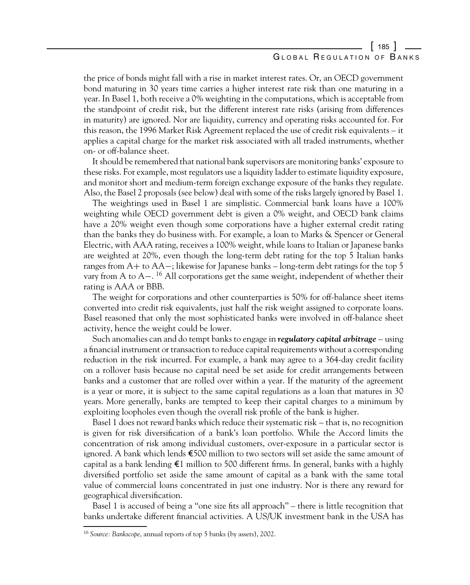#### [ <sup>185</sup> ] GLOBAL REGULATION OF BANKS

the price of bonds might fall with a rise in market interest rates. Or, an OECD government bond maturing in 30 years time carries a higher interest rate risk than one maturing in a year. In Basel 1, both receive a 0% weighting in the computations, which is acceptable from the standpoint of credit risk, but the different interest rate risks (arising from differences in maturity) are ignored. Nor are liquidity, currency and operating risks accounted for. For this reason, the 1996 Market Risk Agreement replaced the use of credit risk equivalents – it applies a capital charge for the market risk associated with all traded instruments, whether on- or off-balance sheet.

It should be remembered that national bank supervisors are monitoring banks' exposure to these risks. For example, most regulators use a liquidity ladder to estimate liquidity exposure, and monitor short and medium-term foreign exchange exposure of the banks they regulate. Also, the Basel 2 proposals (see below) deal with some of the risks largely ignored by Basel 1.

The weightings used in Basel 1 are simplistic. Commercial bank loans have a 100% weighting while OECD government debt is given a 0% weight, and OECD bank claims have a 20% weight even though some corporations have a higher external credit rating than the banks they do business with. For example, a loan to Marks & Spencer or General Electric, with AAA rating, receives a 100% weight, while loans to Italian or Japanese banks are weighted at 20%, even though the long-term debt rating for the top 5 Italian banks ranges from A+ to AA−; likewise for Japanese banks – long-term debt ratings for the top 5 vary from A to A−. <sup>16</sup> All corporations get the same weight, independent of whether their rating is AAA or BBB.

The weight for corporations and other counterparties is 50% for off-balance sheet items converted into credit risk equivalents, just half the risk weight assigned to corporate loans. Basel reasoned that only the most sophisticated banks were involved in off-balance sheet activity, hence the weight could be lower.

Such anomalies can and do tempt banks to engage in *regulatory capital arbitrage* – using a financial instrument or transaction to reduce capital requirements without a corresponding reduction in the risk incurred. For example, a bank may agree to a 364-day credit facility on a rollover basis because no capital need be set aside for credit arrangements between banks and a customer that are rolled over within a year. If the maturity of the agreement is a year or more, it is subject to the same capital regulations as a loan that matures in 30 years. More generally, banks are tempted to keep their capital charges to a minimum by exploiting loopholes even though the overall risk profile of the bank is higher.

Basel 1 does not reward banks which reduce their systematic risk – that is, no recognition is given for risk diversification of a bank's loan portfolio. While the Accord limits the concentration of risk among individual customers, over-exposure in a particular sector is ignored. A bank which lends  $\epsilon$ 500 million to two sectors will set aside the same amount of capital as a bank lending  $\epsilon_1$  million to 500 different firms. In general, banks with a highly diversified portfolio set aside the same amount of capital as a bank with the same total value of commercial loans concentrated in just one industry. Nor is there any reward for geographical diversification.

Basel 1 is accused of being a ''one size fits all approach'' – there is little recognition that banks undertake different financial activities. A US/UK investment bank in the USA has

<sup>16</sup> *Source: Bankscope*, annual reports of top 5 banks (by assets), 2002.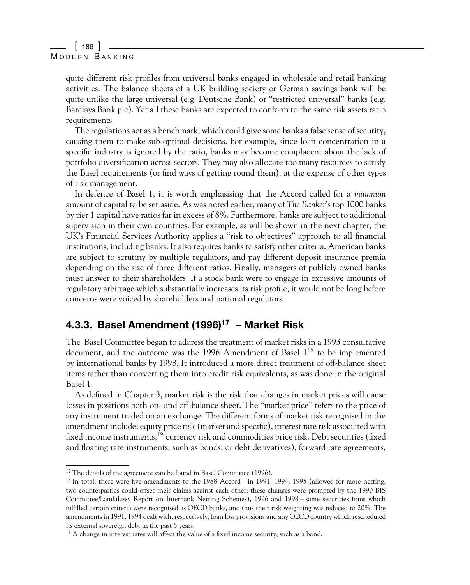#### [ <sup>186</sup> ] M ODERN B ANKING

quite different risk profiles from universal banks engaged in wholesale and retail banking activities. The balance sheets of a UK building society or German savings bank will be quite unlike the large universal (e.g. Deutsche Bank) or ''restricted universal'' banks (e.g. Barclays Bank plc). Yet all these banks are expected to conform to the same risk assets ratio requirements.

The regulations act as a benchmark, which could give some banks a false sense of security, causing them to make sub-optimal decisions. For example, since loan concentration in a specific industry is ignored by the ratio, banks may become complacent about the lack of portfolio diversification across sectors. They may also allocate too many resources to satisfy the Basel requirements (or find ways of getting round them), at the expense of other types of risk management.

In defence of Basel 1, it is worth emphasising that the Accord called for a *minimum* amount of capital to be set aside. As was noted earlier, many of *The Banker*'s top 1000 banks by tier 1 capital have ratios far in excess of 8%. Furthermore, banks are subject to additional supervision in their own countries. For example, as will be shown in the next chapter, the UK's Financial Services Authority applies a ''risk to objectives'' approach to all financial institutions, including banks. It also requires banks to satisfy other criteria. American banks are subject to scrutiny by multiple regulators, and pay different deposit insurance premia depending on the size of three different ratios. Finally, managers of publicly owned banks must answer to their shareholders. If a stock bank were to engage in excessive amounts of regulatory arbitrage which substantially increases its risk profile, it would not be long before concerns were voiced by shareholders and national regulators.

## **4.3.3. Basel Amendment (1996)<sup>17</sup> – Market Risk**

The Basel Committee began to address the treatment of market risks in a 1993 consultative document, and the outcome was the 1996 Amendment of Basel  $1^{18}$  to be implemented by international banks by 1998. It introduced a more direct treatment of off-balance sheet items rather than converting them into credit risk equivalents, as was done in the original Basel 1.

As defined in Chapter 3, market risk is the risk that changes in market prices will cause losses in positions both on- and off-balance sheet. The ''market price'' refers to the price of any instrument traded on an exchange. The different forms of market risk recognised in the amendment include: equity price risk (market and specific), interest rate risk associated with fixed income instruments,<sup>19</sup> currency risk and commodities price risk. Debt securities (fixed and floating rate instruments, such as bonds, or debt derivatives), forward rate agreements,

<sup>&</sup>lt;sup>17</sup> The details of the agreement can be found in Basel Committee (1996).

<sup>&</sup>lt;sup>18</sup> In total, there were five amendments to the 1988 Accord – in 1991, 1994, 1995 (allowed for more netting, two counterparties could offset their claims against each other; these changes were prompted by the 1990 BIS Committee/Lamfalussy Report on Interbank Netting Schemes), 1996 and 1998 – some securities firms which fulfilled certain criteria were recognised as OECD banks, and thus their risk weighting was reduced to 20%. The amendments in 1991, 1994 dealt with, respectively, loan loss provisions and any OECD country which rescheduled its external sovereign debt in the past 5 years.

 $19$  A change in interest rates will affect the value of a fixed income security, such as a bond.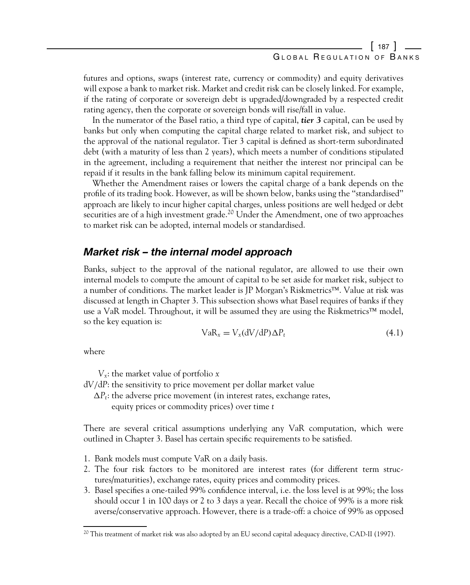futures and options, swaps (interest rate, currency or commodity) and equity derivatives will expose a bank to market risk. Market and credit risk can be closely linked. For example, if the rating of corporate or sovereign debt is upgraded/downgraded by a respected credit rating agency, then the corporate or sovereign bonds will rise/fall in value.

In the numerator of the Basel ratio, a third type of capital, *tier 3* capital, can be used by banks but only when computing the capital charge related to market risk, and subject to the approval of the national regulator. Tier 3 capital is defined as short-term subordinated debt (with a maturity of less than 2 years), which meets a number of conditions stipulated in the agreement, including a requirement that neither the interest nor principal can be repaid if it results in the bank falling below its minimum capital requirement.

Whether the Amendment raises or lowers the capital charge of a bank depends on the profile of its trading book. However, as will be shown below, banks using the ''standardised'' approach are likely to incur higher capital charges, unless positions are well hedged or debt securities are of a high investment grade.<sup>20</sup> Under the Amendment, one of two approaches to market risk can be adopted, internal models or standardised.

### *Market risk – the internal model approach*

Banks, subject to the approval of the national regulator, are allowed to use their own internal models to compute the amount of capital to be set aside for market risk, subject to a number of conditions. The market leader is JP Morgan's Riskmetrics<sup>TM</sup>. Value at risk was discussed at length in Chapter 3. This subsection shows what Basel requires of banks if they use a VaR model. Throughout, it will be assumed they are using the Riskmetrics<sup>TM</sup> model, so the key equation is:

$$
VaR_x = V_x(dV/dP)\Delta P_t
$$
\n(4.1)

where

*Vx*: the market value of portfolio *x*

d*V*/d*P*: the sensitivity to price movement per dollar market value

 $\Delta P_t$ : the adverse price movement (in interest rates, exchange rates, equity prices or commodity prices) over time *t*

There are several critical assumptions underlying any VaR computation, which were outlined in Chapter 3. Basel has certain specific requirements to be satisfied.

- 1. Bank models must compute VaR on a daily basis.
- 2. The four risk factors to be monitored are interest rates (for different term structures/maturities), exchange rates, equity prices and commodity prices.
- 3. Basel specifies a one-tailed 99% confidence interval, i.e. the loss level is at 99%; the loss should occur 1 in 100 days or 2 to 3 days a year. Recall the choice of 99% is a more risk averse/conservative approach. However, there is a trade-off: a choice of 99% as opposed

<sup>&</sup>lt;sup>20</sup> This treatment of market risk was also adopted by an EU second capital adequacy directive, CAD-II (1997).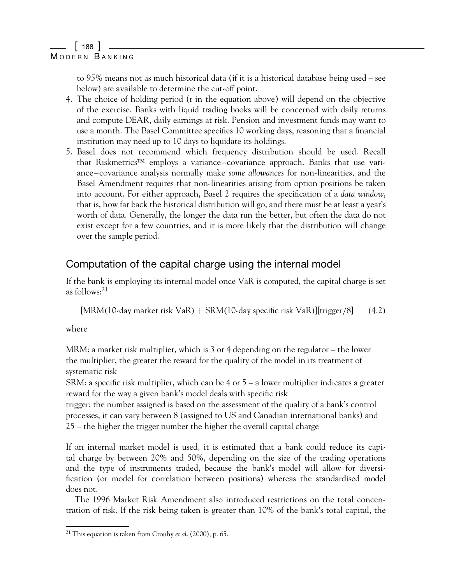#### [ <sup>188</sup> ] M ODERN B ANKING

to 95% means not as much historical data (if it is a historical database being used – see below) are available to determine the cut-off point.

- 4. The choice of holding period (*t* in the equation above) will depend on the objective of the exercise. Banks with liquid trading books will be concerned with daily returns and compute DEAR, daily earnings at risk. Pension and investment funds may want to use a month. The Basel Committee specifies 10 working days, reasoning that a financial institution may need up to 10 days to liquidate its holdings.
- 5. Basel does not recommend which frequency distribution should be used. Recall that Riskmetrics<sup>TM</sup> employs a variance–covariance approach. Banks that use variance–covariance analysis normally make *some allowances* for non-linearities, and the Basel Amendment requires that non-linearities arising from option positions be taken into account. For either approach, Basel 2 requires the specification of a *data window*, that is, how far back the historical distribution will go, and there must be at least a year's worth of data. Generally, the longer the data run the better, but often the data do not exist except for a few countries, and it is more likely that the distribution will change over the sample period.

### Computation of the capital charge using the internal model

If the bank is employing its internal model once VaR is computed, the capital charge is set as follows:<sup>21</sup>

 $[MRM(10-day market risk VaR) + SRM(10-day specific risk VaR)] [trigger/8]$  (4.2)

where

MRM: a market risk multiplier, which is 3 or 4 depending on the regulator – the lower the multiplier, the greater the reward for the quality of the model in its treatment of systematic risk

SRM: a specific risk multiplier, which can be  $4$  or  $5 - a$  lower multiplier indicates a greater reward for the way a given bank's model deals with specific risk

trigger: the number assigned is based on the assessment of the quality of a bank's control processes, it can vary between 8 (assigned to US and Canadian international banks) and 25 – the higher the trigger number the higher the overall capital charge

If an internal market model is used, it is estimated that a bank could reduce its capital charge by between 20% and 50%, depending on the size of the trading operations and the type of instruments traded, because the bank's model will allow for diversification (or model for correlation between positions) whereas the standardised model does not.

The 1996 Market Risk Amendment also introduced restrictions on the total concentration of risk. If the risk being taken is greater than 10% of the bank's total capital, the

<sup>21</sup> This equation is taken from Crouhy *et al*. (2000), p. 65.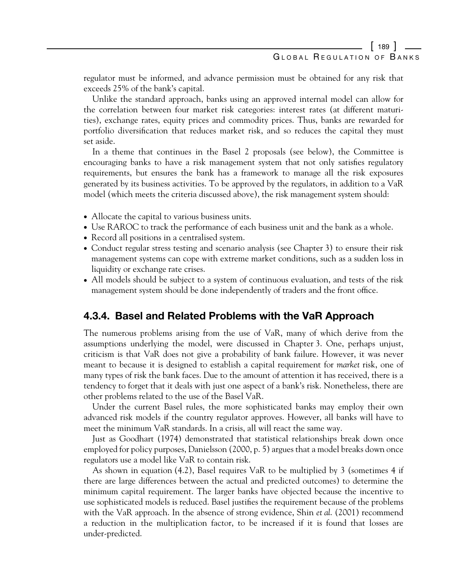[ <sup>189</sup> ]

regulator must be informed, and advance permission must be obtained for any risk that exceeds 25% of the bank's capital.

Unlike the standard approach, banks using an approved internal model can allow for the correlation between four market risk categories: interest rates (at different maturities), exchange rates, equity prices and commodity prices. Thus, banks are rewarded for portfolio diversification that reduces market risk, and so reduces the capital they must set aside.

In a theme that continues in the Basel 2 proposals (see below), the Committee is encouraging banks to have a risk management system that not only satisfies regulatory requirements, but ensures the bank has a framework to manage all the risk exposures generated by its business activities. To be approved by the regulators, in addition to a VaR model (which meets the criteria discussed above), the risk management system should:

- Allocate the capital to various business units.
- Use RAROC to track the performance of each business unit and the bank as a whole.
- Record all positions in a centralised system.
- Conduct regular stress testing and scenario analysis (see Chapter 3) to ensure their risk management systems can cope with extreme market conditions, such as a sudden loss in liquidity or exchange rate crises.
- All models should be subject to a system of continuous evaluation, and tests of the risk management system should be done independently of traders and the front office.

### **4.3.4. Basel and Related Problems with the VaR Approach**

The numerous problems arising from the use of VaR, many of which derive from the assumptions underlying the model, were discussed in Chapter 3. One, perhaps unjust, criticism is that VaR does not give a probability of bank failure. However, it was never meant to because it is designed to establish a capital requirement for *market* risk, one of many types of risk the bank faces. Due to the amount of attention it has received, there is a tendency to forget that it deals with just one aspect of a bank's risk. Nonetheless, there are other problems related to the use of the Basel VaR.

Under the current Basel rules, the more sophisticated banks may employ their own advanced risk models if the country regulator approves. However, all banks will have to meet the minimum VaR standards. In a crisis, all will react the same way.

Just as Goodhart (1974) demonstrated that statistical relationships break down once employed for policy purposes, Danielsson (2000, p. 5) argues that a model breaks down once regulators use a model like VaR to contain risk.

As shown in equation (4.2), Basel requires VaR to be multiplied by 3 (sometimes 4 if there are large differences between the actual and predicted outcomes) to determine the minimum capital requirement. The larger banks have objected because the incentive to use sophisticated models is reduced. Basel justifies the requirement because of the problems with the VaR approach. In the absence of strong evidence, Shin *et al*. (2001) recommend a reduction in the multiplication factor, to be increased if it is found that losses are under-predicted.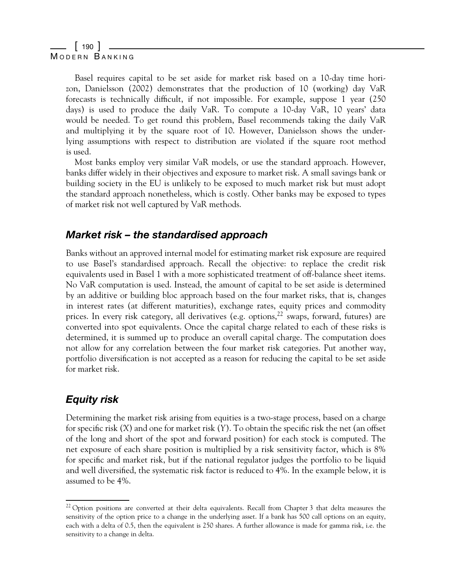Basel requires capital to be set aside for market risk based on a 10-day time horizon, Danielsson (2002) demonstrates that the production of 10 (working) day VaR forecasts is technically difficult, if not impossible. For example, suppose 1 year (250 days) is used to produce the daily VaR. To compute a 10-day VaR, 10 years' data would be needed. To get round this problem, Basel recommends taking the daily VaR and multiplying it by the square root of 10. However, Danielsson shows the underlying assumptions with respect to distribution are violated if the square root method is used.

Most banks employ very similar VaR models, or use the standard approach. However, banks differ widely in their objectives and exposure to market risk. A small savings bank or building society in the EU is unlikely to be exposed to much market risk but must adopt the standard approach nonetheless, which is costly. Other banks may be exposed to types of market risk not well captured by VaR methods.

### *Market risk – the standardised approach*

Banks without an approved internal model for estimating market risk exposure are required to use Basel's standardised approach. Recall the objective: to replace the credit risk equivalents used in Basel 1 with a more sophisticated treatment of off-balance sheet items. No VaR computation is used. Instead, the amount of capital to be set aside is determined by an additive or building bloc approach based on the four market risks, that is, changes in interest rates (at different maturities), exchange rates, equity prices and commodity prices. In every risk category, all derivatives (e.g. options,  $22$  swaps, forward, futures) are converted into spot equivalents. Once the capital charge related to each of these risks is determined, it is summed up to produce an overall capital charge. The computation does not allow for any correlation between the four market risk categories. Put another way, portfolio diversification is not accepted as a reason for reducing the capital to be set aside for market risk.

### *Equity risk*

Determining the market risk arising from equities is a two-stage process, based on a charge for specific risk (*X*) and one for market risk (*Y*). To obtain the specific risk the net (an offset of the long and short of the spot and forward position) for each stock is computed. The net exposure of each share position is multiplied by a risk sensitivity factor, which is 8% for specific and market risk, but if the national regulator judges the portfolio to be liquid and well diversified, the systematic risk factor is reduced to 4%. In the example below, it is assumed to be 4%.

 $^{22}$  Option positions are converted at their delta equivalents. Recall from Chapter 3 that delta measures the sensitivity of the option price to a change in the underlying asset. If a bank has 500 call options on an equity, each with a delta of 0.5, then the equivalent is 250 shares. A further allowance is made for gamma risk, i.e. the sensitivity to a change in delta.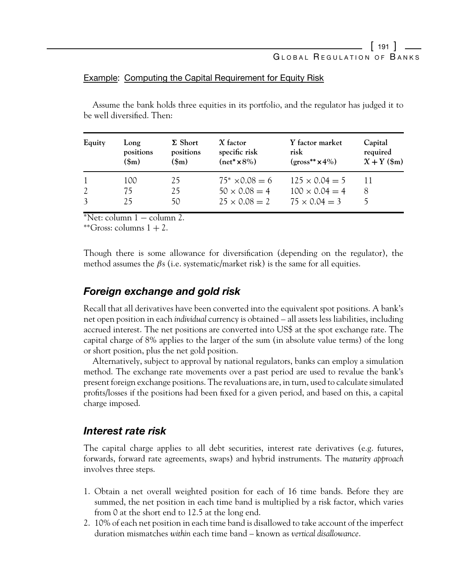| Equity        | Long<br>positions<br>$(\mathbb{S}_{m})$ | $\Sigma$ Short<br>positions<br>$(\mathbb{S}_{m})$ | $X$ factor<br>specific risk<br>$(net^* \times 8\%)$ | Y factor market<br>risk<br>$(gross** x 4%)$ | Capital<br>required<br>$X + Y$ (\$m) |
|---------------|-----------------------------------------|---------------------------------------------------|-----------------------------------------------------|---------------------------------------------|--------------------------------------|
|               | 100                                     | 25                                                | $75^* \times 0.08 = 6$                              | $125 \times 0.04 = 5$                       | 11                                   |
| 2             | 75                                      | 25                                                | $50 \times 0.08 = 4$                                | $100 \times 0.04 = 4$                       | 8                                    |
| $\mathcal{E}$ | 25                                      | 50                                                | $25 \times 0.08 = 2$                                | $75 \times 0.04 = 3$                        |                                      |

#### Example: Computing the Capital Requirement for Equity Risk

Assume the bank holds three equities in its portfolio, and the regulator has judged it to be well diversified. Then:

 $*$ Net: column 1 – column 2.<br> $*$ <sup>\*</sup>Gross: columns 1 + 2.

Though there is some allowance for diversification (depending on the regulator), the method assumes the  $\beta$ s (i.e. systematic/market risk) is the same for all equities.

### *Foreign exchange and gold risk*

Recall that all derivatives have been converted into the equivalent spot positions. A bank's net open position in each *individual* currency is obtained – all assets less liabilities, including accrued interest. The net positions are converted into US\$ at the spot exchange rate. The capital charge of 8% applies to the larger of the sum (in absolute value terms) of the long or short position, plus the net gold position.

Alternatively, subject to approval by national regulators, banks can employ a simulation method. The exchange rate movements over a past period are used to revalue the bank's present foreign exchange positions. The revaluations are, in turn, used to calculate simulated profits/losses if the positions had been fixed for a given period, and based on this, a capital charge imposed.

### *Interest rate risk*

The capital charge applies to all debt securities, interest rate derivatives (e.g. futures, forwards, forward rate agreements, swaps) and hybrid instruments. The *maturity approach* involves three steps.

- 1. Obtain a net overall weighted position for each of 16 time bands. Before they are summed, the net position in each time band is multiplied by a risk factor, which varies from 0 at the short end to 12.5 at the long end.
- 2. 10% of each net position in each time band is disallowed to take account of the imperfect duration mismatches *within* each time band – known as *vertical disallowance*.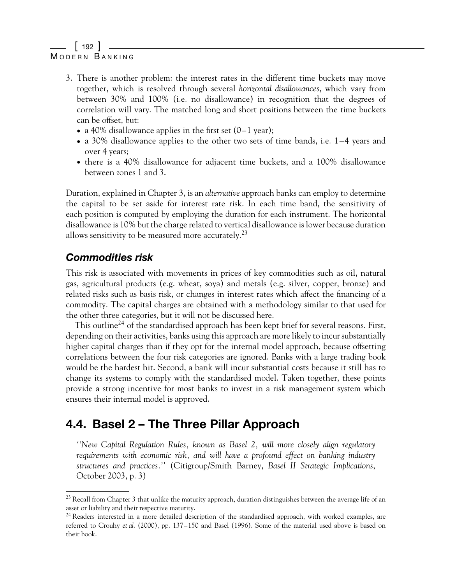#### [ <sup>192</sup> ] M ODERN B ANKING

- 3. There is another problem: the interest rates in the different time buckets may move together, which is resolved through several *horizontal disallowances*, which vary from between 30% and 100% (i.e. no disallowance) in recognition that the degrees of correlation will vary. The matched long and short positions between the time buckets can be offset, but:
	- a 40% disallowance applies in the first set  $(0-1 \text{ year})$ :
	- a 30% disallowance applies to the other two sets of time bands, i.e. 1–4 years and over 4 years;
	- there is a 40% disallowance for adjacent time buckets, and a 100% disallowance between zones 1 and 3.

Duration, explained in Chapter 3, is an *alternative* approach banks can employ to determine the capital to be set aside for interest rate risk. In each time band, the sensitivity of each position is computed by employing the duration for each instrument. The horizontal disallowance is 10% but the charge related to vertical disallowance is lower because duration allows sensitivity to be measured more accurately.23

### *Commodities risk*

This risk is associated with movements in prices of key commodities such as oil, natural gas, agricultural products (e.g. wheat, soya) and metals (e.g. silver, copper, bronze) and related risks such as basis risk, or changes in interest rates which affect the financing of a commodity. The capital charges are obtained with a methodology similar to that used for the other three categories, but it will not be discussed here.

This outline<sup>24</sup> of the standardised approach has been kept brief for several reasons. First, depending on their activities, banks using this approach are more likely to incur substantially higher capital charges than if they opt for the internal model approach, because offsetting correlations between the four risk categories are ignored. Banks with a large trading book would be the hardest hit. Second, a bank will incur substantial costs because it still has to change its systems to comply with the standardised model. Taken together, these points provide a strong incentive for most banks to invest in a risk management system which ensures their internal model is approved.

## **4.4. Basel 2 – The Three Pillar Approach**

*''New Capital Regulation Rules, known as Basel 2, will more closely align regulatory requirements with economic risk, and will have a profound effect on banking industry structures and practices.''* (Citigroup/Smith Barney, *Basel II Strategic Implications*, October 2003, p. 3)

 $^{23}$  Recall from Chapter 3 that unlike the maturity approach, duration distinguishes between the average life of an asset or liability and their respective maturity.

 $^{24}$  Readers interested in a more detailed description of the standardised approach, with worked examples, are referred to Crouhy *et al*. (2000), pp. 137–150 and Basel (1996). Some of the material used above is based on their book.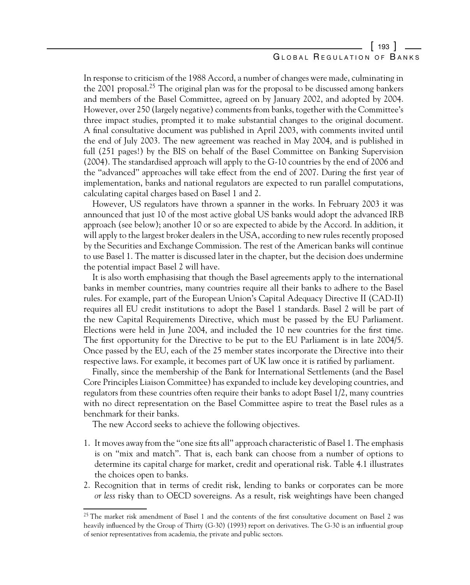#### [ <sup>193</sup> ] GLOBAL REGULATION OF BANKS

In response to criticism of the 1988 Accord, a number of changes were made, culminating in the 2001 proposal.<sup>25</sup> The original plan was for the proposal to be discussed among bankers and members of the Basel Committee, agreed on by January 2002, and adopted by 2004. However, over 250 (largely negative) comments from banks, together with the Committee's three impact studies, prompted it to make substantial changes to the original document. A final consultative document was published in April 2003, with comments invited until the end of July 2003. The new agreement was reached in May 2004, and is published in full (251 pages!) by the BIS on behalf of the Basel Committee on Banking Supervision (2004). The standardised approach will apply to the G-10 countries by the end of 2006 and the ''advanced'' approaches will take effect from the end of 2007. During the first year of implementation, banks and national regulators are expected to run parallel computations, calculating capital charges based on Basel 1 and 2.

However, US regulators have thrown a spanner in the works. In February 2003 it was announced that just 10 of the most active global US banks would adopt the advanced IRB approach (see below); another 10 or so are expected to abide by the Accord. In addition, it will apply to the largest broker dealers in the USA, according to new rules recently proposed by the Securities and Exchange Commission. The rest of the American banks will continue to use Basel 1. The matter is discussed later in the chapter, but the decision does undermine the potential impact Basel 2 will have.

It is also worth emphasising that though the Basel agreements apply to the international banks in member countries, many countries require all their banks to adhere to the Basel rules. For example, part of the European Union's Capital Adequacy Directive II (CAD-II) requires all EU credit institutions to adopt the Basel 1 standards. Basel 2 will be part of the new Capital Requirements Directive, which must be passed by the EU Parliament. Elections were held in June 2004, and included the 10 new countries for the first time. The first opportunity for the Directive to be put to the EU Parliament is in late 2004/5. Once passed by the EU, each of the 25 member states incorporate the Directive into their respective laws. For example, it becomes part of UK law once it is ratified by parliament.

Finally, since the membership of the Bank for International Settlements (and the Basel Core Principles Liaison Committee) has expanded to include key developing countries, and regulators from these countries often require their banks to adopt Basel 1/2, many countries with no direct representation on the Basel Committee aspire to treat the Basel rules as a benchmark for their banks.

The new Accord seeks to achieve the following objectives.

- 1. It moves away from the ''one size fits all'' approach characteristic of Basel 1. The emphasis is on ''mix and match''. That is, each bank can choose from a number of options to determine its capital charge for market, credit and operational risk. Table 4.1 illustrates the choices open to banks.
- 2. Recognition that in terms of credit risk, lending to banks or corporates can be more *or less* risky than to OECD sovereigns. As a result, risk weightings have been changed

<sup>&</sup>lt;sup>25</sup> The market risk amendment of Basel 1 and the contents of the first consultative document on Basel 2 was heavily influenced by the Group of Thirty (G-30) (1993) report on derivatives. The G-30 is an influential group of senior representatives from academia, the private and public sectors.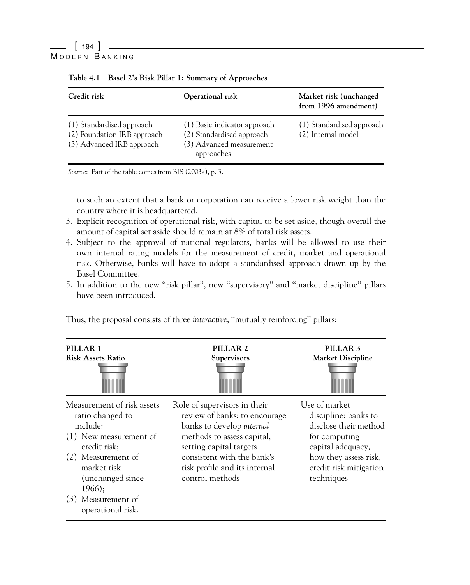### [ <sup>194</sup> ] M ODERN B ANKING

| Credit risk                                                                           | Operational risk                                                                                    | Market risk (unchanged<br>from 1996 amendment)  |
|---------------------------------------------------------------------------------------|-----------------------------------------------------------------------------------------------------|-------------------------------------------------|
| (1) Standardised approach<br>(2) Foundation IRB approach<br>(3) Advanced IRB approach | (1) Basic indicator approach<br>(2) Standardised approach<br>(3) Advanced measurement<br>approaches | (1) Standardised approach<br>(2) Internal model |

**Table 4.1 Basel 2's Risk Pillar 1: Summary of Approaches**

*Source*: Part of the table comes from BIS (2003a), p. 3.

to such an extent that a bank or corporation can receive a lower risk weight than the country where it is headquartered.

- 3. Explicit recognition of operational risk, with capital to be set aside, though overall the amount of capital set aside should remain at 8% of total risk assets.
- 4. Subject to the approval of national regulators, banks will be allowed to use their own internal rating models for the measurement of credit, market and operational risk. Otherwise, banks will have to adopt a standardised approach drawn up by the Basel Committee.
- 5. In addition to the new ''risk pillar'', new ''supervisory'' and ''market discipline'' pillars have been introduced.

Thus, the proposal consists of three *interactive*, ''mutually reinforcing'' pillars:

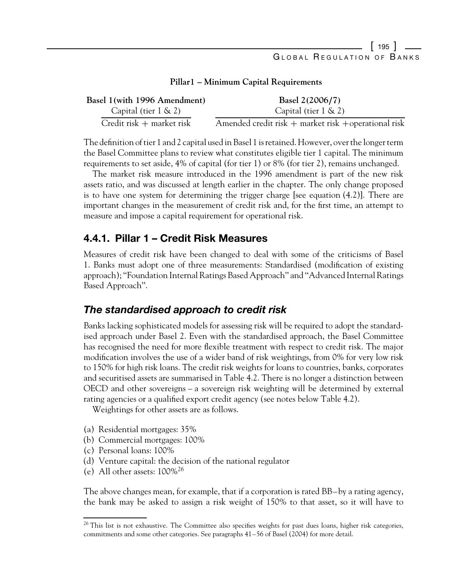[ <sup>195</sup> ] GLOBAL REGULATION OF BANKS

| Basel 1(with 1996 Amendment) | Basel 2(2006/7)                                          |
|------------------------------|----------------------------------------------------------|
| Capital (tier $1 \& 2$ )     | Capital (tier $1 \& 2$ )                                 |
| Credit risk $+$ market risk  | Amended credit risk $+$ market risk $+$ operational risk |

#### **Pillar1 – Minimum Capital Requirements**

The definition of tier 1 and 2 capital used in Basel 1 is retained. However, over the longer term the Basel Committee plans to review what constitutes eligible tier 1 capital. The minimum requirements to set aside, 4% of capital (for tier 1) or 8% (for tier 2), remains unchanged.

The market risk measure introduced in the 1996 amendment is part of the new risk assets ratio, and was discussed at length earlier in the chapter. The only change proposed is to have one system for determining the trigger charge [see equation (4.2)]. There are important changes in the measurement of credit risk and, for the first time, an attempt to measure and impose a capital requirement for operational risk.

### **4.4.1. Pillar 1 – Credit Risk Measures**

Measures of credit risk have been changed to deal with some of the criticisms of Basel 1. Banks must adopt one of three measurements: Standardised (modification of existing approach); ''Foundation Internal Ratings Based Approach'' and ''Advanced Internal Ratings Based Approach''.

### *The standardised approach to credit risk*

Banks lacking sophisticated models for assessing risk will be required to adopt the standardised approach under Basel 2. Even with the standardised approach, the Basel Committee has recognised the need for more flexible treatment with respect to credit risk. The major modification involves the use of a wider band of risk weightings, from 0% for very low risk to 150% for high risk loans. The credit risk weights for loans to countries, banks, corporates and securitised assets are summarised in Table 4.2. There is no longer a distinction between OECD and other sovereigns – a sovereign risk weighting will be determined by external rating agencies or a qualified export credit agency (see notes below Table 4.2).

Weightings for other assets are as follows.

- (a) Residential mortgages: 35%
- (b) Commercial mortgages: 100%
- (c) Personal loans: 100%
- (d) Venture capital: the decision of the national regulator
- (e) All other assets: 100%26

The above changes mean, for example, that if a corporation is rated BB–by a rating agency, the bank may be asked to assign a risk weight of 150% to that asset, so it will have to

 $26$  This list is not exhaustive. The Committee also specifies weights for past dues loans, higher risk categories, commitments and some other categories. See paragraphs 41–56 of Basel (2004) for more detail.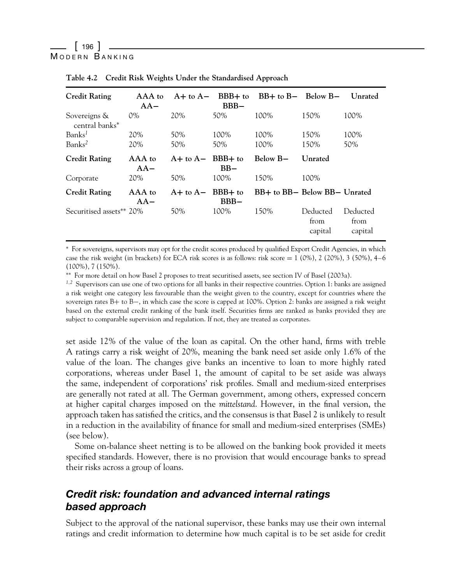| <b>Credit Rating</b>            | AAA to<br>$AA-$ | $A+$ to $A-$ | $BBB+$ to<br>BBB-  | $BB+$ to $B-$ Below $B-$     |                             | Unrated                     |
|---------------------------------|-----------------|--------------|--------------------|------------------------------|-----------------------------|-----------------------------|
| Sovereigns &<br>central banks*  | $0\%$           | 20%          | 50%                | 100%                         | 150%                        | 100%                        |
| Banks <sup>1</sup><br>$Banks^2$ | 20%<br>20%      | 50%<br>50%   | 100%<br>50%        | 100%<br>100%                 | 150%<br>150%                | 100%<br>50%                 |
| <b>Credit Rating</b>            | AAA to<br>$AA-$ | $A+$ to $A-$ | $BBB+$ to<br>$BB-$ | Below B-                     | <b>Unrated</b>              |                             |
| Corporate                       | 20%             | 50%          | 100%               | 150%                         | 100%                        |                             |
| <b>Credit Rating</b>            | AAA to<br>$AA-$ | $A+$ to $A-$ | $BBB+to$<br>BBB-   | BB+ to BB- Below BB- Unrated |                             |                             |
| Securitised assets** 20%        |                 | 50%          | 100%               | 150%                         | Deducted<br>from<br>capital | Deducted<br>from<br>capital |

**Table 4.2 Credit Risk Weights Under the Standardised Approach**

<sup>∗</sup> For sovereigns, supervisors may opt for the credit scores produced by qualified Export Credit Agencies, in which case the risk weight (in brackets) for ECA risk scores is as follows: risk score  $= 1 (0\%)$ , 2 (20%), 3 (50%), 4–6 (100%), 7 (150%).

∗∗ For more detail on how Basel 2 proposes to treat securitised assets, see section IV of Basel (2003a).

*<sup>1</sup>*,*<sup>2</sup>* Supervisors can use one of two options for all banks in their respective countries. Option 1: banks are assigned a risk weight one category less favourable than the weight given to the country, except for countries where the sovereign rates B+ to B−, in which case the score is capped at 100%. Option 2: banks are assigned a risk weight based on the external credit ranking of the bank itself. Securities firms are ranked as banks provided they are subject to comparable supervision and regulation. If not, they are treated as corporates.

set aside 12% of the value of the loan as capital. On the other hand, firms with treble A ratings carry a risk weight of 20%, meaning the bank need set aside only 1.6% of the value of the loan. The changes give banks an incentive to loan to more highly rated corporations, whereas under Basel 1, the amount of capital to be set aside was always the same, independent of corporations' risk profiles. Small and medium-sized enterprises are generally not rated at all. The German government, among others, expressed concern at higher capital charges imposed on the *mittelstand*. However, in the final version, the approach taken has satisfied the critics, and the consensus is that Basel 2 is unlikely to result in a reduction in the availability of finance for small and medium-sized enterprises (SMEs) (see below).

Some on-balance sheet netting is to be allowed on the banking book provided it meets specified standards. However, there is no provision that would encourage banks to spread their risks across a group of loans.

### *Credit risk: foundation and advanced internal ratings based approach*

Subject to the approval of the national supervisor, these banks may use their own internal ratings and credit information to determine how much capital is to be set aside for credit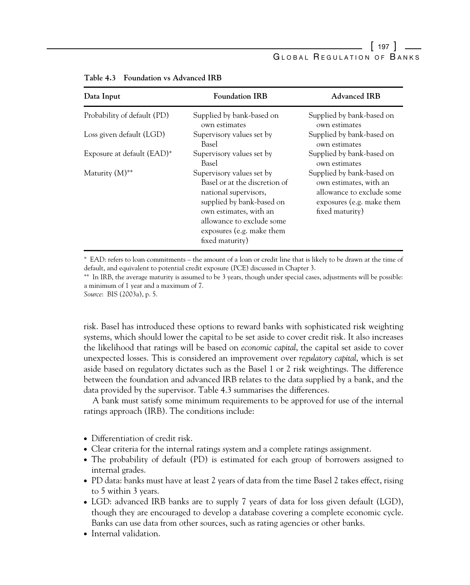#### [ <sup>197</sup> ] GLOBAL REGULATION OF BANKS

| Data Input                   | <b>Foundation IRB</b>                                                                                                                                                                                                   | <b>Advanced IRB</b>                                                                                                              |
|------------------------------|-------------------------------------------------------------------------------------------------------------------------------------------------------------------------------------------------------------------------|----------------------------------------------------------------------------------------------------------------------------------|
| Probability of default (PD)  | Supplied by bank-based on<br>own estimates                                                                                                                                                                              | Supplied by bank-based on<br>own estimates                                                                                       |
| Loss given default (LGD)     | Supervisory values set by<br>Basel                                                                                                                                                                                      | Supplied by bank-based on<br>own estimates                                                                                       |
| Exposure at default (EAD)*   | Supervisory values set by<br>Basel                                                                                                                                                                                      | Supplied by bank-based on<br>own estimates                                                                                       |
| Maturity $(M)$ <sup>**</sup> | Supervisory values set by<br>Basel or at the discretion of<br>national supervisors,<br>supplied by bank-based on<br>own estimates, with an<br>allowance to exclude some<br>exposures (e.g. make them<br>fixed maturity) | Supplied by bank-based on<br>own estimates, with an<br>allowance to exclude some<br>exposures (e.g. make them<br>fixed maturity) |

**Table 4.3 Foundation vs Advanced IRB**

<sup>∗</sup> EAD: refers to loan commitments – the amount of a loan or credit line that is likely to be drawn at the time of default, and equivalent to potential credit exposure (PCE) discussed in Chapter 3.

∗∗ In IRB, the average maturity is assumed to be 3 years, though under special cases, adjustments will be possible: a minimum of 1 year and a maximum of 7.

*Source*: BIS (2003a), p. 5.

risk. Basel has introduced these options to reward banks with sophisticated risk weighting systems, which should lower the capital to be set aside to cover credit risk. It also increases the likelihood that ratings will be based on *economic capital*, the capital set aside to cover unexpected losses. This is considered an improvement over *regulatory capital*, which is set aside based on regulatory dictates such as the Basel 1 or 2 risk weightings. The difference between the foundation and advanced IRB relates to the data supplied by a bank, and the data provided by the supervisor. Table 4.3 summarises the differences.

A bank must satisfy some minimum requirements to be approved for use of the internal ratings approach (IRB). The conditions include:

- Differentiation of credit risk.
- Clear criteria for the internal ratings system and a complete ratings assignment.
- The probability of default (PD) is estimated for each group of borrowers assigned to internal grades.
- PD data: banks must have at least 2 years of data from the time Basel 2 takes effect, rising to 5 within 3 years.
- LGD: advanced IRB banks are to supply 7 years of data for loss given default (LGD), though they are encouraged to develop a database covering a complete economic cycle. Banks can use data from other sources, such as rating agencies or other banks.
- Internal validation.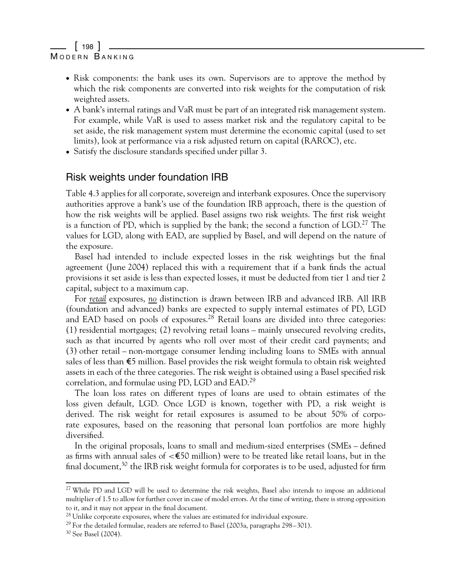#### [ <sup>198</sup> ] M ODERN B ANKING

- Risk components: the bank uses its own. Supervisors are to approve the method by which the risk components are converted into risk weights for the computation of risk weighted assets.
- A bank's internal ratings and VaR must be part of an integrated risk management system. For example, while VaR is used to assess market risk and the regulatory capital to be set aside, the risk management system must determine the economic capital (used to set limits), look at performance via a risk adjusted return on capital (RAROC), etc.
- Satisfy the disclosure standards specified under pillar 3.

#### Risk weights under foundation IRB

Table 4.3 applies for all corporate, sovereign and interbank exposures. Once the supervisory authorities approve a bank's use of the foundation IRB approach, there is the question of how the risk weights will be applied. Basel assigns two risk weights. The first risk weight is a function of PD, which is supplied by the bank; the second a function of  $LGD<sup>27</sup>$  The values for LGD, along with EAD, are supplied by Basel, and will depend on the nature of the exposure.

Basel had intended to include expected losses in the risk weightings but the final agreement (June 2004) replaced this with a requirement that if a bank finds the actual provisions it set aside is less than expected losses, it must be deducted from tier 1 and tier 2 capital, subject to a maximum cap.

For *retail* exposures, *no* distinction is drawn between IRB and advanced IRB. All IRB (foundation and advanced) banks are expected to supply internal estimates of PD, LGD and EAD based on pools of exposures.<sup>28</sup> Retail loans are divided into three categories: (1) residential mortgages; (2) revolving retail loans – mainly unsecured revolving credits, such as that incurred by agents who roll over most of their credit card payments; and (3) other retail – non-mortgage consumer lending including loans to SMEs with annual sales of less than  $\epsilon$ 5 million. Basel provides the risk weight formula to obtain risk weighted assets in each of the three categories. The risk weight is obtained using a Basel specified risk correlation, and formulae using PD, LGD and EAD.<sup>29</sup>

The loan loss rates on different types of loans are used to obtain estimates of the loss given default, LGD. Once LGD is known, together with PD, a risk weight is derived. The risk weight for retail exposures is assumed to be about 50% of corporate exposures, based on the reasoning that personal loan portfolios are more highly diversified.

In the original proposals, loans to small and medium-sized enterprises (SMEs – defined as firms with annual sales of  $\leq$   $\epsilon$ 50 million) were to be treated like retail loans, but in the final document, $30$  the IRB risk weight formula for corporates is to be used, adjusted for firm

<sup>&</sup>lt;sup>27</sup> While PD and LGD will be used to determine the risk weights, Basel also intends to impose an additional multiplier of 1.5 to allow for further cover in case of model errors. At the time of writing, there is strong opposition to it, and it may not appear in the final document.

 $^{28}$  Unlike corporate exposures, where the values are estimated for individual exposure.

 $29$  For the detailed formulae, readers are referred to Basel (2003a, paragraphs 298-301).

<sup>30</sup> See Basel (2004).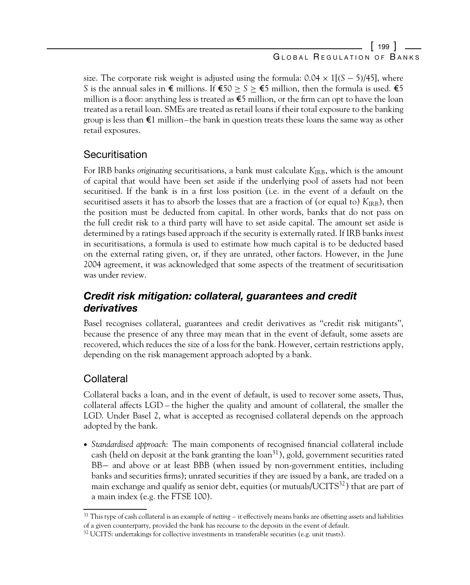size. The corporate risk weight is adjusted using the formula:  $0.04 \times 1[(S - 5)/45]$ , where *S* is the annual sales in  $\epsilon$  millions. If  $\epsilon$ 50  $\geq$  *S*  $\geq$   $\epsilon$ 5 million, then the formula is used.  $\epsilon$ 5 million is a floor: anything less is treated as  $\epsilon$ 5 million, or the firm can opt to have the loan treated as a retail loan. SMEs are treated as retail loans if their total exposure to the banking group is less than  $\epsilon_1$  million–the bank in question treats these loans the same way as other retail exposures.

### **Securitisation**

For IRB banks *originating* securitisations, a bank must calculate  $K_{\text{IRB}}$ , which is the amount of capital that would have been set aside if the underlying pool of assets had not been securitised. If the bank is in a first loss position (i.e. in the event of a default on the securitised assets it has to absorb the losses that are a fraction of (or equal to)  $K_{\rm IRB}$ ), then the position must be deducted from capital. In other words, banks that do not pass on the full credit risk to a third party will have to set aside capital. The amount set aside is determined by a ratings based approach if the security is externally rated. If IRB banks *invest* in securitisations, a formula is used to estimate how much capital is to be deducted based on the external rating given, or, if they are unrated, other factors. However, in the June 2004 agreement, it was acknowledged that some aspects of the treatment of securitisation was under review.

## *Credit risk mitigation: collateral, guarantees and credit derivatives*

Basel recognises collateral, guarantees and credit derivatives as ''credit risk mitigants'', because the presence of any three may mean that in the event of default, some assets are recovered, which reduces the size of a loss for the bank. However, certain restrictions apply, depending on the risk management approach adopted by a bank.

## **Collateral**

Collateral backs a loan, and in the event of default, is used to recover some assets, Thus, collateral affects LGD – the higher the quality and amount of collateral, the smaller the LGD. Under Basel 2, what is accepted as recognised collateral depends on the approach adopted by the bank.

<sup>ž</sup> *Standardised approach*: The main components of recognised financial collateral include cash (held on deposit at the bank granting the  $\text{loan}^{31}$ ), gold, government securities rated BB− and above or at least BBB (when issued by non-government entities, including banks and securities firms); unrated securities if they are issued by a bank, are traded on a main exchange and qualify as senior debt, equities (or mutuals/ $UCITS<sup>32</sup>$ ) that are part of a main index (e.g. the FTSE 100).

<sup>31</sup> This type of cash collateral is an example of *netting* – it effectively means banks are offsetting assets and liabilities of a given counterparty, provided the bank has recourse to the deposits in the event of default.

 $32$  UCITS: undertakings for collective investments in transferable securities (e.g. unit trusts).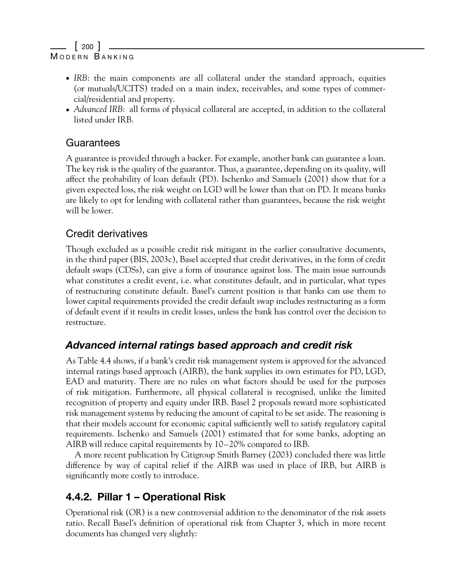#### [ <sup>200</sup> ] M ODERN B ANKING

- *IRB*: the main components are all collateral under the standard approach, equities (or mutuals/UCITS) traded on a main index, receivables, and some types of commercial/residential and property.
- Advanced IRB: all forms of physical collateral are accepted, in addition to the collateral listed under IRB.

### **Guarantees**

A guarantee is provided through a backer. For example, another bank can guarantee a loan. The key risk is the quality of the guarantor. Thus, a guarantee, depending on its quality, will affect the probability of loan default (PD). Ischenko and Samuels (2001) show that for a given expected loss, the risk weight on LGD will be lower than that on PD. It means banks are likely to opt for lending with collateral rather than guarantees, because the risk weight will be lower.

### Credit derivatives

Though excluded as a possible credit risk mitigant in the earlier consultative documents, in the third paper (BIS, 2003c), Basel accepted that credit derivatives, in the form of credit default swaps (CDSs), can give a form of insurance against loss. The main issue surrounds what constitutes a credit event, i.e. what constitutes default, and in particular, what types of restructuring constitute default. Basel's current position is that banks can use them to lower capital requirements provided the credit default swap includes restructuring as a form of default event if it results in credit losses, unless the bank has control over the decision to restructure.

## *Advanced internal ratings based approach and credit risk*

As Table 4.4 shows, if a bank's credit risk management system is approved for the advanced internal ratings based approach (AIRB), the bank supplies its own estimates for PD, LGD, EAD and maturity. There are no rules on what factors should be used for the purposes of risk mitigation. Furthermore, all physical collateral is recognised, unlike the limited recognition of property and equity under IRB. Basel 2 proposals reward more sophisticated risk management systems by reducing the amount of capital to be set aside. The reasoning is that their models account for economic capital sufficiently well to satisfy regulatory capital requirements. Ischenko and Samuels (2001) estimated that for some banks, adopting an AIRB will reduce capital requirements by 10–20% compared to IRB.

A more recent publication by Citigroup Smith Barney (2003) concluded there was little difference by way of capital relief if the AIRB was used in place of IRB, but AIRB is significantly more costly to introduce.

## **4.4.2. Pillar 1 – Operational Risk**

Operational risk (OR) is a new controversial addition to the denominator of the risk assets ratio. Recall Basel's definition of operational risk from Chapter 3, which in more recent documents has changed very slightly: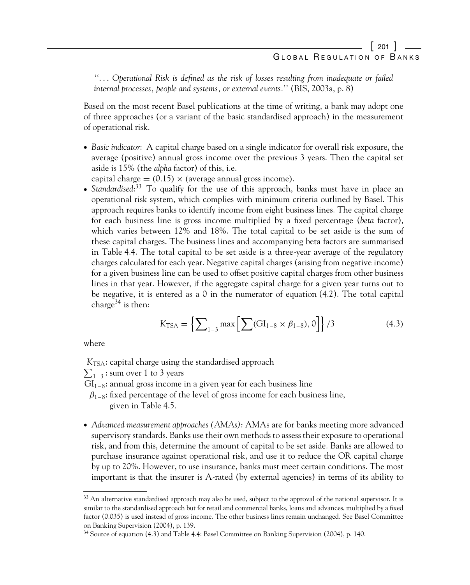*''*... *Operational Risk is defined as the risk of losses resulting from inadequate or failed internal processes, people and systems, or external events.''* (BIS, 2003a, p. 8)

Based on the most recent Basel publications at the time of writing, a bank may adopt one of three approaches (or a variant of the basic standardised approach) in the measurement of operational risk.

<sup>ž</sup> *Basic indicator*: A capital charge based on a single indicator for overall risk exposure, the average (positive) annual gross income over the previous 3 years. Then the capital set aside is 15% (the *alpha* factor) of this, i.e.

capital charge  $= (0.15) \times$  (average annual gross income).

• Standardised:<sup>33</sup> To qualify for the use of this approach, banks must have in place an operational risk system, which complies with minimum criteria outlined by Basel. This approach requires banks to identify income from eight business lines. The capital charge for each business line is gross income multiplied by a fixed percentage (*beta* factor), which varies between 12% and 18%. The total capital to be set aside is the sum of these capital charges. The business lines and accompanying beta factors are summarised in Table 4.4. The total capital to be set aside is a three-year average of the regulatory charges calculated for each year. Negative capital charges (arising from negative income) for a given business line can be used to offset positive capital charges from other business lines in that year. However, if the aggregate capital charge for a given year turns out to be negative, it is entered as a 0 in the numerator of equation (4.2). The total capital charge<sup>34</sup> is then:

$$
K_{\text{TSA}} = \left\{ \sum_{1-3} \max \left[ \sum (\text{GI}_{1-8} \times \beta_{1-8}), 0 \right] \right\} / 3 \tag{4.3}
$$

where

*K*TSA: capital charge using the standardised approach

 $\sum_{1=3}$ : sum over 1 to 3 years

 $GI<sub>1–8</sub>$ : annual gross income in a given year for each business line

 $\beta_{1-8}$ : fixed percentage of the level of gross income for each business line, given in Table 4.5.

<sup>ž</sup> *Advanced measurement approaches (AMAs)*: AMAs are for banks meeting more advanced supervisory standards. Banks use their own methods to assess their exposure to operational risk, and from this, determine the amount of capital to be set aside. Banks are allowed to purchase insurance against operational risk, and use it to reduce the OR capital charge by up to 20%. However, to use insurance, banks must meet certain conditions. The most important is that the insurer is A-rated (by external agencies) in terms of its ability to

<sup>&</sup>lt;sup>33</sup> An alternative standardised approach may also be used, subject to the approval of the national supervisor. It is similar to the standardised approach but for retail and commercial banks, loans and advances, multiplied by a fixed factor (0.035) is used instead of gross income. The other business lines remain unchanged. See Basel Committee on Banking Supervision (2004), p. 139.

<sup>34</sup> Source of equation (4.3) and Table 4.4: Basel Committee on Banking Supervision (2004), p. 140.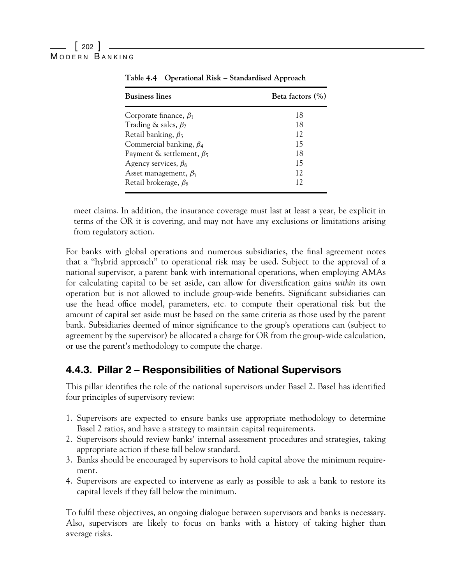| <b>Business lines</b>           | Beta factors $(\%)$ |
|---------------------------------|---------------------|
| Corporate finance, $\beta_1$    | 18                  |
| Trading & sales, $\beta_2$      | 18                  |
| Retail banking, $\beta_3$       | 12                  |
| Commercial banking, $\beta_4$   | 15                  |
| Payment & settlement, $\beta_5$ | 18                  |
| Agency services, $\beta_6$      | 15                  |
| Asset management, $\beta_7$     | 12                  |
| Retail brokerage, $\beta_8$     | 12                  |

**Table 4.4 Operational Risk – Standardised Approach**

meet claims. In addition, the insurance coverage must last at least a year, be explicit in terms of the OR it is covering, and may not have any exclusions or limitations arising from regulatory action.

For banks with global operations and numerous subsidiaries, the final agreement notes that a ''hybrid approach'' to operational risk may be used. Subject to the approval of a national supervisor, a parent bank with international operations, when employing AMAs for calculating capital to be set aside, can allow for diversification gains *within* its own operation but is not allowed to include group-wide benefits. Significant subsidiaries can use the head office model, parameters, etc. to compute their operational risk but the amount of capital set aside must be based on the same criteria as those used by the parent bank. Subsidiaries deemed of minor significance to the group's operations can (subject to agreement by the supervisor) be allocated a charge for OR from the group-wide calculation, or use the parent's methodology to compute the charge.

### **4.4.3. Pillar 2 – Responsibilities of National Supervisors**

This pillar identifies the role of the national supervisors under Basel 2. Basel has identified four principles of supervisory review:

- 1. Supervisors are expected to ensure banks use appropriate methodology to determine Basel 2 ratios, and have a strategy to maintain capital requirements.
- 2. Supervisors should review banks' internal assessment procedures and strategies, taking appropriate action if these fall below standard.
- 3. Banks should be encouraged by supervisors to hold capital above the minimum requirement.
- 4. Supervisors are expected to intervene as early as possible to ask a bank to restore its capital levels if they fall below the minimum.

To fulfil these objectives, an ongoing dialogue between supervisors and banks is necessary. Also, supervisors are likely to focus on banks with a history of taking higher than average risks.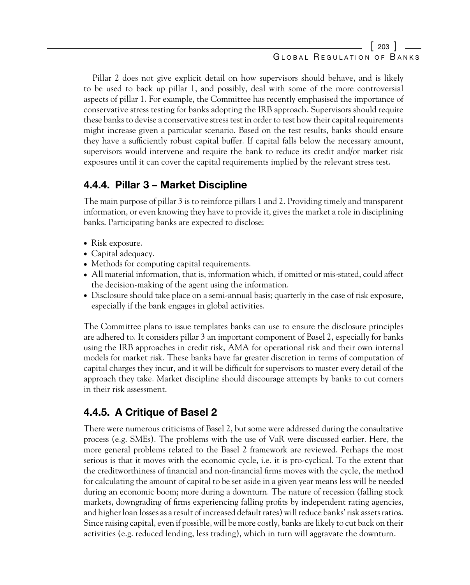#### [ <sup>203</sup> ] GLOBAL REGULATION OF BANKS

Pillar 2 does not give explicit detail on how supervisors should behave, and is likely to be used to back up pillar 1, and possibly, deal with some of the more controversial aspects of pillar 1. For example, the Committee has recently emphasised the importance of conservative stress testing for banks adopting the IRB approach. Supervisors should require these banks to devise a conservative stress test in order to test how their capital requirements might increase given a particular scenario. Based on the test results, banks should ensure they have a sufficiently robust capital buffer. If capital falls below the necessary amount, supervisors would intervene and require the bank to reduce its credit and/or market risk exposures until it can cover the capital requirements implied by the relevant stress test.

### **4.4.4. Pillar 3 – Market Discipline**

The main purpose of pillar 3 is to reinforce pillars 1 and 2. Providing timely and transparent information, or even knowing they have to provide it, gives the market a role in disciplining banks. Participating banks are expected to disclose:

- Risk exposure.
- Capital adequacy.
- Methods for computing capital requirements.
- All material information, that is, information which, if omitted or mis-stated, could affect the decision-making of the agent using the information.
- Disclosure should take place on a semi-annual basis; quarterly in the case of risk exposure, especially if the bank engages in global activities.

The Committee plans to issue templates banks can use to ensure the disclosure principles are adhered to. It considers pillar 3 an important component of Basel 2, especially for banks using the IRB approaches in credit risk, AMA for operational risk and their own internal models for market risk. These banks have far greater discretion in terms of computation of capital charges they incur, and it will be difficult for supervisors to master every detail of the approach they take. Market discipline should discourage attempts by banks to cut corners in their risk assessment.

## **4.4.5. A Critique of Basel 2**

There were numerous criticisms of Basel 2, but some were addressed during the consultative process (e.g. SMEs). The problems with the use of VaR were discussed earlier. Here, the more general problems related to the Basel 2 framework are reviewed. Perhaps the most serious is that it moves with the economic cycle, i.e. it is pro-cyclical. To the extent that the creditworthiness of financial and non-financial firms moves with the cycle, the method for calculating the amount of capital to be set aside in a given year means less will be needed during an economic boom; more during a downturn. The nature of recession (falling stock markets, downgrading of firms experiencing falling profits by independent rating agencies, and higher loan losses as a result of increased default rates) will reduce banks' risk assets ratios. Since raising capital, even if possible, will be more costly, banks are likely to cut back on their activities (e.g. reduced lending, less trading), which in turn will aggravate the downturn.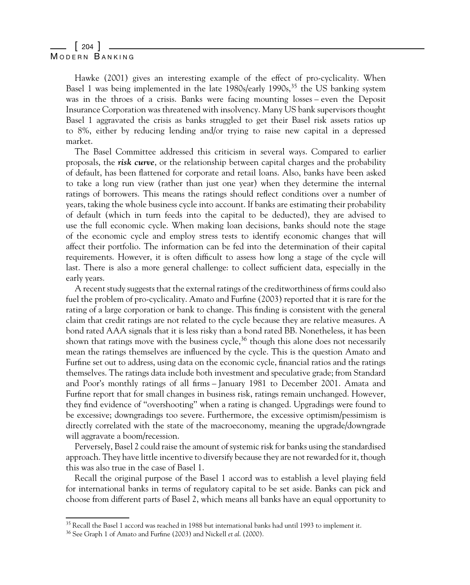#### [ <sup>204</sup> ] M ODERN B ANKING

Hawke (2001) gives an interesting example of the effect of pro-cyclicality. When Basel 1 was being implemented in the late 1980s/early 1990s,<sup>35</sup> the US banking system was in the throes of a crisis. Banks were facing mounting losses – even the Deposit Insurance Corporation was threatened with insolvency. Many US bank supervisors thought Basel 1 aggravated the crisis as banks struggled to get their Basel risk assets ratios up to 8%, either by reducing lending and/or trying to raise new capital in a depressed market.

The Basel Committee addressed this criticism in several ways. Compared to earlier proposals, the *risk curve*, or the relationship between capital charges and the probability of default, has been flattened for corporate and retail loans. Also, banks have been asked to take a long run view (rather than just one year) when they determine the internal ratings of borrowers. This means the ratings should reflect conditions over a number of years, taking the whole business cycle into account. If banks are estimating their probability of default (which in turn feeds into the capital to be deducted), they are advised to use the full economic cycle. When making loan decisions, banks should note the stage of the economic cycle and employ stress tests to identify economic changes that will affect their portfolio. The information can be fed into the determination of their capital requirements. However, it is often difficult to assess how long a stage of the cycle will last. There is also a more general challenge: to collect sufficient data, especially in the early years.

A recent study suggests that the external ratings of the creditworthiness of firms could also fuel the problem of pro-cyclicality. Amato and Furfine (2003) reported that it is rare for the rating of a large corporation or bank to change. This finding is consistent with the general claim that credit ratings are not related to the cycle because they are relative measures. A bond rated AAA signals that it is less risky than a bond rated BB. Nonetheless, it has been shown that ratings move with the business cycle,<sup>36</sup> though this alone does not necessarily mean the ratings themselves are influenced by the cycle. This is the question Amato and Furfine set out to address, using data on the economic cycle, financial ratios and the ratings themselves. The ratings data include both investment and speculative grade; from Standard and Poor's monthly ratings of all firms – January 1981 to December 2001. Amata and Furfine report that for small changes in business risk, ratings remain unchanged. However, they find evidence of ''overshooting'' when a rating is changed. Upgradings were found to be excessive; downgradings too severe. Furthermore, the excessive optimism/pessimism is directly correlated with the state of the macroeconomy, meaning the upgrade/downgrade will aggravate a boom/recession.

Perversely, Basel 2 could raise the amount of systemic risk for banks using the standardised approach. They have little incentive to diversify because they are not rewarded for it, though this was also true in the case of Basel 1.

Recall the original purpose of the Basel 1 accord was to establish a level playing field for international banks in terms of regulatory capital to be set aside. Banks can pick and choose from different parts of Basel 2, which means all banks have an equal opportunity to

<sup>&</sup>lt;sup>35</sup> Recall the Basel 1 accord was reached in 1988 but international banks had until 1993 to implement it.

<sup>36</sup> See Graph 1 of Amato and Furfine (2003) and Nickell *et al*. (2000).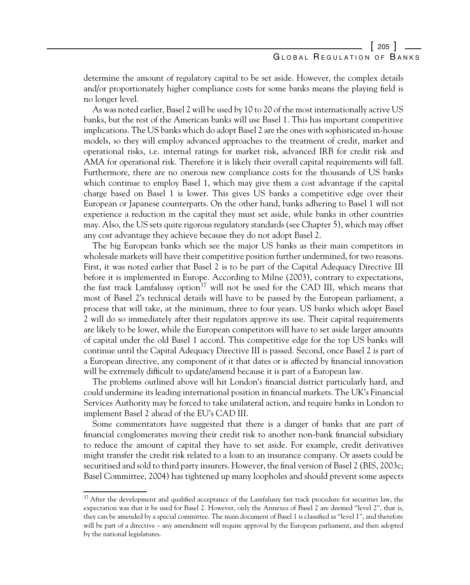determine the amount of regulatory capital to be set aside. However, the complex details and/or proportionately higher compliance costs for some banks means the playing field is no longer level.

As was noted earlier, Basel 2 will be used by 10 to 20 of the most internationally active US banks, but the rest of the American banks will use Basel 1. This has important competitive implications. The US banks which do adopt Basel 2 are the ones with sophisticated in-house models, so they will employ advanced approaches to the treatment of credit, market and operational risks, i.e. internal ratings for market risk, advanced IRB for credit risk and AMA for operational risk. Therefore it is likely their overall capital requirements will fall. Furthermore, there are no onerous new compliance costs for the thousands of US banks which continue to employ Basel 1, which may give them a cost advantage if the capital charge based on Basel 1 is lower. This gives US banks a competitive edge over their European or Japanese counterparts. On the other hand, banks adhering to Basel 1 will not experience a reduction in the capital they must set aside, while banks in other countries may. Also, the US sets quite rigorous regulatory standards (see Chapter 5), which may offset any cost advantage they achieve because they do not adopt Basel 2.

The big European banks which see the major US banks as their main competitors in wholesale markets will have their competitive position further undermined, for two reasons. First, it was noted earlier that Basel 2 is to be part of the Capital Adequacy Directive III before it is implemented in Europe. According to Milne (2003), contrary to expectations, the fast track Lamfalussy option<sup>37</sup> will not be used for the CAD III, which means that most of Basel 2's technical details will have to be passed by the European parliament, a process that will take, at the minimum, three to four years. US banks which adopt Basel 2 will do so immediately after their regulators approve its use. Their capital requirements are likely to be lower, while the European competitors will have to set aside larger amounts of capital under the old Basel 1 accord. This competitive edge for the top US banks will continue until the Capital Adequacy Directive III is passed. Second, once Basel 2 is part of a European directive, any component of it that dates or is affected by financial innovation will be extremely difficult to update/amend because it is part of a European law.

The problems outlined above will hit London's financial district particularly hard, and could undermine its leading international position in financial markets. The UK's Financial Services Authority may be forced to take unilateral action, and require banks in London to implement Basel 2 ahead of the EU's CAD III.

Some commentators have suggested that there is a danger of banks that are part of financial conglomerates moving their credit risk to another non-bank financial subsidiary to reduce the amount of capital they have to set aside. For example, credit derivatives might transfer the credit risk related to a loan to an insurance company. Or assets could be securitised and sold to third party insurers. However, the final version of Basel 2 (BIS, 2003c; Basel Committee, 2004) has tightened up many loopholes and should prevent some aspects

<sup>&</sup>lt;sup>37</sup> After the development and qualified acceptance of the Lamfalussy fast track procedure for securities law, the expectation was that it be used for Basel 2. However, only the Annexes of Basel 2 are deemed ''level 2'', that is, they can be amended by a special committee. The main document of Basel 1 is classified as ''level 1'', and therefore will be part of a directive – any amendment will require approval by the European parliament, and then adopted by the national legislatures.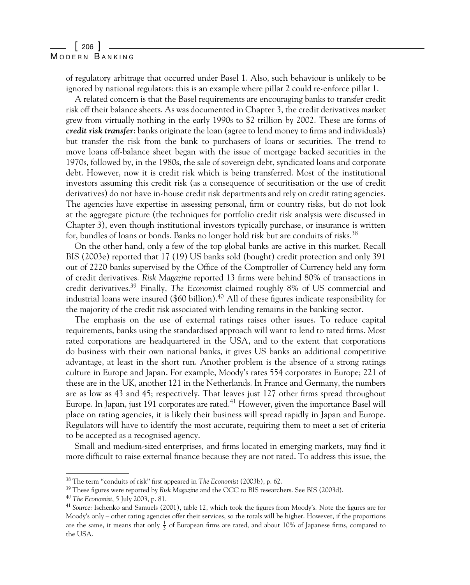of regulatory arbitrage that occurred under Basel 1. Also, such behaviour is unlikely to be ignored by national regulators: this is an example where pillar 2 could re-enforce pillar 1.

A related concern is that the Basel requirements are encouraging banks to transfer credit risk off their balance sheets. As was documented in Chapter 3, the credit derivatives market grew from virtually nothing in the early 1990s to \$2 trillion by 2002. These are forms of *credit risk transfer*: banks originate the loan (agree to lend money to firms and individuals) but transfer the risk from the bank to purchasers of loans or securities. The trend to move loans off-balance sheet began with the issue of mortgage backed securities in the 1970s, followed by, in the 1980s, the sale of sovereign debt, syndicated loans and corporate debt. However, now it is credit risk which is being transferred. Most of the institutional investors assuming this credit risk (as a consequence of securitisation or the use of credit derivatives) do not have in-house credit risk departments and rely on credit rating agencies. The agencies have expertise in assessing personal, firm or country risks, but do not look at the aggregate picture (the techniques for portfolio credit risk analysis were discussed in Chapter 3), even though institutional investors typically purchase, or insurance is written for, bundles of loans or bonds. Banks no longer hold risk but are conduits of risks.<sup>38</sup>

On the other hand, only a few of the top global banks are active in this market. Recall BIS (2003e) reported that 17 (19) US banks sold (bought) credit protection and only 391 out of 2220 banks supervised by the Office of the Comptroller of Currency held any form of credit derivatives. *Risk Magazine* reported 13 firms were behind 80% of transactions in credit derivatives.<sup>39</sup> Finally, *The Economist* claimed roughly 8% of US commercial and industrial loans were insured  $(\$60 \text{ billion})$ .<sup>40</sup> All of these figures indicate responsibility for the majority of the credit risk associated with lending remains in the banking sector.

The emphasis on the use of external ratings raises other issues. To reduce capital requirements, banks using the standardised approach will want to lend to rated firms. Most rated corporations are headquartered in the USA, and to the extent that corporations do business with their own national banks, it gives US banks an additional competitive advantage, at least in the short run. Another problem is the absence of a strong ratings culture in Europe and Japan. For example, Moody's rates 554 corporates in Europe; 221 of these are in the UK, another 121 in the Netherlands. In France and Germany, the numbers are as low as 43 and 45; respectively. That leaves just 127 other firms spread throughout Europe. In Japan, just 191 corporates are rated.<sup>41</sup> However, given the importance Basel will place on rating agencies, it is likely their business will spread rapidly in Japan and Europe. Regulators will have to identify the most accurate, requiring them to meet a set of criteria to be accepted as a recognised agency.

Small and medium-sized enterprises, and firms located in emerging markets, may find it more difficult to raise external finance because they are not rated. To address this issue, the

<sup>38</sup> The term ''conduits of risk'' first appeared in *The Economist* (2003b), p. 62.

<sup>39</sup> These figures were reported by *Risk Magazine* and the OCC to BIS researchers. See BIS (2003d).

<sup>40</sup> *The Economist*, 5 July 2003, p. 81.

<sup>41</sup> *Source*: Ischenko and Samuels (2001), table 12, which took the figures from Moody's. Note the figures are for Moody's only – other rating agencies offer their services, so the totals will be higher. However, if the proportions are the same, it means that only  $\frac{1}{3}$  of European firms are rated, and about 10% of Japanese firms, compared to the USA.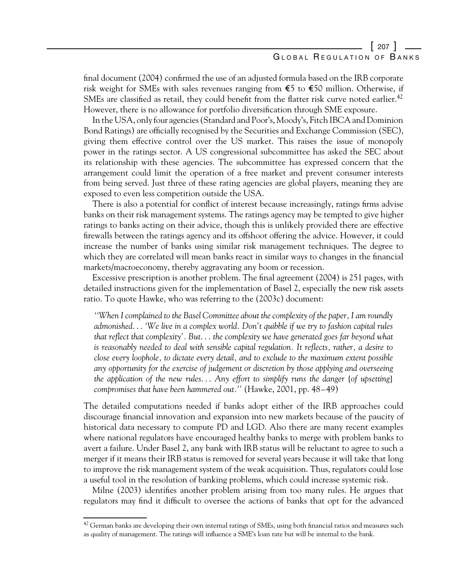#### [ <sup>207</sup> ] GLOBAL REGULATION OF BANKS

final document (2004) confirmed the use of an adjusted formula based on the IRB corporate risk weight for SMEs with sales revenues ranging from  $\epsilon$ 5 to  $\epsilon$ 50 million. Otherwise, if SMEs are classified as retail, they could benefit from the flatter risk curve noted earlier.<sup>42</sup> However, there is no allowance for portfolio diversification through SME exposure.

In the USA, only four agencies (Standard and Poor's, Moody's, Fitch IBCA and Dominion Bond Ratings) are officially recognised by the Securities and Exchange Commission (SEC), giving them effective control over the US market. This raises the issue of monopoly power in the ratings sector. A US congressional subcommittee has asked the SEC about its relationship with these agencies. The subcommittee has expressed concern that the arrangement could limit the operation of a free market and prevent consumer interests from being served. Just three of these rating agencies are global players, meaning they are exposed to even less competition outside the USA.

There is also a potential for conflict of interest because increasingly, ratings firms advise banks on their risk management systems. The ratings agency may be tempted to give higher ratings to banks acting on their advice, though this is unlikely provided there are effective firewalls between the ratings agency and its offshoot offering the advice. However, it could increase the number of banks using similar risk management techniques. The degree to which they are correlated will mean banks react in similar ways to changes in the financial markets/macroeconomy, thereby aggravating any boom or recession.

Excessive prescription is another problem. The final agreement (2004) is 251 pages, with detailed instructions given for the implementation of Basel 2, especially the new risk assets ratio. To quote Hawke, who was referring to the (2003c) document:

*''When I complained to the Basel Committee about the complexity of the paper, I am roundly admonished*... *'We live in a complex world. Don't quibble if we try to fashion capital rules that reflect that complexity'. But*... *the complexity we have generated goes far beyond what is reasonably needed to deal with sensible capital regulation. It reflects, rather, a desire to close every loophole, to dictate every detail, and to exclude to the maximum extent possible any opportunity for the exercise of judgement or discretion by those applying and overseeing the application of the new rules*... *Any effort to simplify runs the danger* {*of upsetting*} *compromises that have been hammered out.''* (Hawke, 2001, pp. 48–49)

The detailed computations needed if banks adopt either of the IRB approaches could discourage financial innovation and expansion into new markets because of the paucity of historical data necessary to compute PD and LGD. Also there are many recent examples where national regulators have encouraged healthy banks to merge with problem banks to avert a failure. Under Basel 2, any bank with IRB status will be reluctant to agree to such a merger if it means their IRB status is removed for several years because it will take that long to improve the risk management system of the weak acquisition. Thus, regulators could lose a useful tool in the resolution of banking problems, which could increase systemic risk.

Milne (2003) identifies another problem arising from too many rules. He argues that regulators may find it difficult to oversee the actions of banks that opt for the advanced

<sup>&</sup>lt;sup>42</sup> German banks are developing their own internal ratings of SMEs, using both financial ratios and measures such as quality of management. The ratings will influence a SME's loan rate but will be internal to the bank.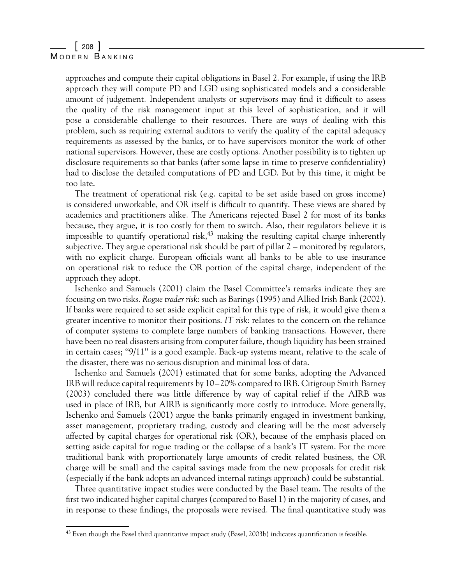#### [ <sup>208</sup> ] M ODERN B ANKING

approaches and compute their capital obligations in Basel 2. For example, if using the IRB approach they will compute PD and LGD using sophisticated models and a considerable amount of judgement. Independent analysts or supervisors may find it difficult to assess the quality of the risk management input at this level of sophistication, and it will pose a considerable challenge to their resources. There are ways of dealing with this problem, such as requiring external auditors to verify the quality of the capital adequacy requirements as assessed by the banks, or to have supervisors monitor the work of other national supervisors. However, these are costly options. Another possibility is to tighten up disclosure requirements so that banks (after some lapse in time to preserve confidentiality) had to disclose the detailed computations of PD and LGD. But by this time, it might be too late.

The treatment of operational risk (e.g. capital to be set aside based on gross income) is considered unworkable, and OR itself is difficult to quantify. These views are shared by academics and practitioners alike. The Americans rejected Basel 2 for most of its banks because, they argue, it is too costly for them to switch. Also, their regulators believe it is impossible to quantify operational risk, $43$  making the resulting capital charge inherently subjective. They argue operational risk should be part of pillar 2 – monitored by regulators, with no explicit charge. European officials want all banks to be able to use insurance on operational risk to reduce the OR portion of the capital charge, independent of the approach they adopt.

Ischenko and Samuels (2001) claim the Basel Committee's remarks indicate they are focusing on two risks. *Rogue trader risk*: such as Barings (1995) and Allied Irish Bank (2002). If banks were required to set aside explicit capital for this type of risk, it would give them a greater incentive to monitor their positions. *IT risk*: relates to the concern on the reliance of computer systems to complete large numbers of banking transactions. However, there have been no real disasters arising from computer failure, though liquidity has been strained in certain cases; ''9/11'' is a good example. Back-up systems meant, relative to the scale of the disaster, there was no serious disruption and minimal loss of data.

Ischenko and Samuels (2001) estimated that for some banks, adopting the Advanced IRB will reduce capital requirements by 10–20% compared to IRB. Citigroup Smith Barney (2003) concluded there was little difference by way of capital relief if the AIRB was used in place of IRB, but AIRB is significantly more costly to introduce. More generally, Ischenko and Samuels (2001) argue the banks primarily engaged in investment banking, asset management, proprietary trading, custody and clearing will be the most adversely affected by capital charges for operational risk (OR), because of the emphasis placed on setting aside capital for rogue trading or the collapse of a bank's IT system. For the more traditional bank with proportionately large amounts of credit related business, the OR charge will be small and the capital savings made from the new proposals for credit risk (especially if the bank adopts an advanced internal ratings approach) could be substantial.

Three quantitative impact studies were conducted by the Basel team. The results of the first two indicated higher capital charges (compared to Basel 1) in the majority of cases, and in response to these findings, the proposals were revised. The final quantitative study was

<sup>&</sup>lt;sup>43</sup> Even though the Basel third quantitative impact study (Basel, 2003b) indicates quantification is feasible.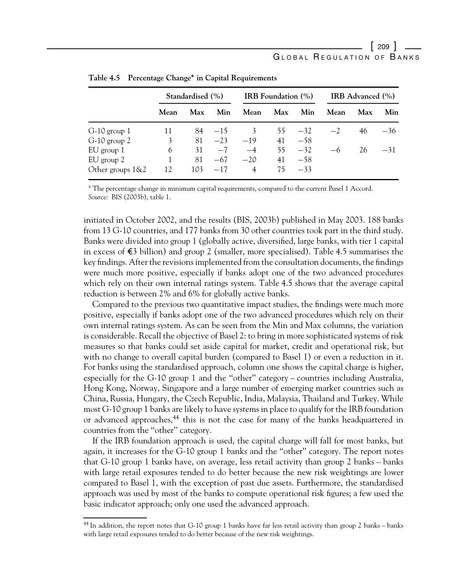|                     | Standardised (%) |     | IRB Foundation (%) |                         |            | IRB Advanced (%) |      |     |       |
|---------------------|------------------|-----|--------------------|-------------------------|------------|------------------|------|-----|-------|
|                     | Mean             | Max | Min                | Mean                    | <b>Max</b> | Min.             | Mean | Max | Min   |
| $G-10$ group 1      | 11               |     | $84 - 15$          | $\overline{\mathbf{3}}$ |            | $55 - 32$        | $-2$ | 46  | $-36$ |
| $G-10$ group 2      | 3                | 81. | $-23$              | $-19$                   | 41         | $-58$            |      |     |       |
| $EU$ group $1$      | 6                | 31  | $-7$               | $-4$                    | 55         | $-32$            | $-6$ | 26  | $-31$ |
| EU group 2          | 1                | 81  | $-67$              | $-20$                   | 41         | $-58$            |      |     |       |
| Other groups $1\&2$ | 12.              | 103 | $-17$              | 4                       | 75         | $-33$            |      |     |       |

**Table 4.5 Percentage Change<sup>∗</sup> in Capital Requirements**

<sup>∗</sup> The percentage change in minimum capital requirements, compared to the current Basel 1 Accord. *Source*: BIS (2003b), table 1.

initiated in October 2002, and the results (BIS, 2003b) published in May 2003. 188 banks from 13 G-10 countries, and 177 banks from 30 other countries took part in the third study. Banks were divided into group 1 (globally active, diversified, large banks, with tier 1 capital in excess of  $\epsilon$ 3 billion) and group 2 (smaller, more specialised). Table 4.5 summarises the key findings. After the revisions implemented from the consultation documents, the findings were much more positive, especially if banks adopt one of the two advanced procedures which rely on their own internal ratings system. Table 4.5 shows that the average capital reduction is between 2% and 6% for globally active banks.

Compared to the previous two quantitative impact studies, the findings were much more positive, especially if banks adopt one of the two advanced procedures which rely on their own internal ratings system. As can be seen from the Min and Max columns, the variation is considerable. Recall the objective of Basel 2: to bring in more sophisticated systems of risk measures so that banks could set aside capital for market, credit and operational risk, but with no change to overall capital burden (compared to Basel 1) or even a reduction in it. For banks using the standardised approach, column one shows the capital charge is higher, especially for the G-10 group 1 and the ''other'' category – countries including Australia, Hong Kong, Norway, Singapore and a large number of emerging market countries such as China, Russia, Hungary, the Czech Republic, India, Malaysia, Thailand and Turkey. While most G-10 group 1 banks are likely to have systems in place to qualify for the IRB foundation or advanced approaches,<sup>44</sup> this is not the case for many of the banks headquartered in countries from the "other" category.

If the IRB foundation approach is used, the capital charge will fall for most banks, but again, it increases for the G-10 group 1 banks and the "other" category. The report notes that G-10 group 1 banks have, on average, less retail activity than group 2 banks – banks with large retail exposures tended to do better because the new risk weightings are lower compared to Basel 1, with the exception of past due assets. Furthermore, the standardised approach was used by most of the banks to compute operational risk figures; a few used the basic indicator approach; only one used the advanced approach.

<sup>44</sup> In addition, the report notes that G-10 group 1 banks have far less retail activity than group 2 banks – banks with large retail exposures tended to do better because of the new risk weightings.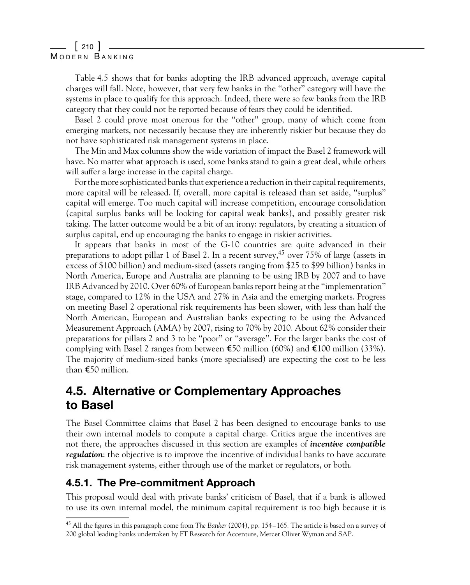#### [ <sup>210</sup> ] M ODERN B ANKING

Table 4.5 shows that for banks adopting the IRB advanced approach, average capital charges will fall. Note, however, that very few banks in the ''other'' category will have the systems in place to qualify for this approach. Indeed, there were so few banks from the IRB category that they could not be reported because of fears they could be identified.

Basel 2 could prove most onerous for the ''other'' group, many of which come from emerging markets, not necessarily because they are inherently riskier but because they do not have sophisticated risk management systems in place.

The Min and Max columns show the wide variation of impact the Basel 2 framework will have. No matter what approach is used, some banks stand to gain a great deal, while others will suffer a large increase in the capital charge.

For the more sophisticated banks that experience a reduction in their capital requirements, more capital will be released. If, overall, more capital is released than set aside, ''surplus'' capital will emerge. Too much capital will increase competition, encourage consolidation (capital surplus banks will be looking for capital weak banks), and possibly greater risk taking. The latter outcome would be a bit of an irony: regulators, by creating a situation of surplus capital, end up encouraging the banks to engage in riskier activities.

It appears that banks in most of the G-10 countries are quite advanced in their preparations to adopt pillar 1 of Basel 2. In a recent survey,<sup>45</sup> over  $75\%$  of large (assets in excess of \$100 billion) and medium-sized (assets ranging from \$25 to \$99 billion) banks in North America, Europe and Australia are planning to be using IRB by 2007 and to have IRB Advanced by 2010. Over 60% of European banks report being at the ''implementation'' stage, compared to 12% in the USA and 27% in Asia and the emerging markets. Progress on meeting Basel 2 operational risk requirements has been slower, with less than half the North American, European and Australian banks expecting to be using the Advanced Measurement Approach (AMA) by 2007, rising to 70% by 2010. About 62% consider their preparations for pillars 2 and 3 to be ''poor'' or ''average''. For the larger banks the cost of complying with Basel 2 ranges from between  $\epsilon$ 50 million (60%) and  $\epsilon$ 100 million (33%). The majority of medium-sized banks (more specialised) are expecting the cost to be less than  $\epsilon$ 50 million.

## **4.5. Alternative or Complementary Approaches to Basel**

The Basel Committee claims that Basel 2 has been designed to encourage banks to use their own internal models to compute a capital charge. Critics argue the incentives are not there, the approaches discussed in this section are examples of *incentive compatible regulation*: the objective is to improve the incentive of individual banks to have accurate risk management systems, either through use of the market or regulators, or both.

### **4.5.1. The Pre-commitment Approach**

This proposal would deal with private banks' criticism of Basel, that if a bank is allowed to use its own internal model, the minimum capital requirement is too high because it is

<sup>45</sup> All the figures in this paragraph come from *The Banker* (2004), pp. 154–165. The article is based on a survey of 200 global leading banks undertaken by FT Research for Accenture, Mercer Oliver Wyman and SAP.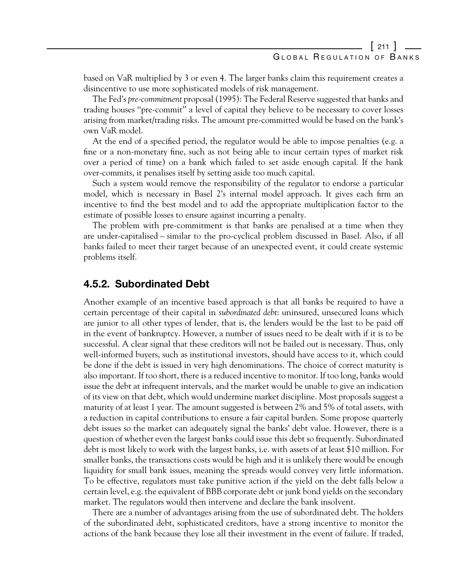based on VaR multiplied by 3 or even 4. The larger banks claim this requirement creates a disincentive to use more sophisticated models of risk management.

The Fed's *pre-commitment* proposal (1995): The Federal Reserve suggested that banks and trading houses ''pre-commit'' a level of capital they believe to be necessary to cover losses arising from market/trading risks. The amount pre-committed would be based on the bank's own VaR model.

At the end of a specified period, the regulator would be able to impose penalties (e.g. a fine or a non-monetary fine, such as not being able to incur certain types of market risk over a period of time) on a bank which failed to set aside enough capital. If the bank over-commits, it penalises itself by setting aside too much capital.

Such a system would remove the responsibility of the regulator to endorse a particular model, which is necessary in Basel 2's internal model approach. It gives each firm an incentive to find the best model and to add the appropriate multiplication factor to the estimate of possible losses to ensure against incurring a penalty.

The problem with pre-commitment is that banks are penalised at a time when they are under-capitalised – similar to the pro-cyclical problem discussed in Basel. Also, if all banks failed to meet their target because of an unexpected event, it could create systemic problems itself.

### **4.5.2. Subordinated Debt**

Another example of an incentive based approach is that all banks be required to have a certain percentage of their capital in *subordinated debt*: uninsured, unsecured loans which are junior to all other types of lender, that is, the lenders would be the last to be paid off in the event of bankruptcy. However, a number of issues need to be dealt with if it is to be successful. A clear signal that these creditors will not be bailed out is necessary. Thus, only well-informed buyers, such as institutional investors, should have access to it, which could be done if the debt is issued in very high denominations. The choice of correct maturity is also important. If too short, there is a reduced incentive to monitor. If too long, banks would issue the debt at infrequent intervals, and the market would be unable to give an indication of its view on that debt, which would undermine market discipline. Most proposals suggest a maturity of at least 1 year. The amount suggested is between 2% and 5% of total assets, with a reduction in capital contributions to ensure a fair capital burden. Some propose quarterly debt issues so the market can adequately signal the banks' debt value. However, there is a question of whether even the largest banks could issue this debt so frequently. Subordinated debt is most likely to work with the largest banks, i.e. with assets of at least \$10 million. For smaller banks, the transactions costs would be high and it is unlikely there would be enough liquidity for small bank issues, meaning the spreads would convey very little information. To be effective, regulators must take punitive action if the yield on the debt falls below a certain level, e.g. the equivalent of BBB corporate debt or junk bond yields on the secondary market. The regulators would then intervene and declare the bank insolvent.

There are a number of advantages arising from the use of subordinated debt. The holders of the subordinated debt, sophisticated creditors, have a strong incentive to monitor the actions of the bank because they lose all their investment in the event of failure. If traded,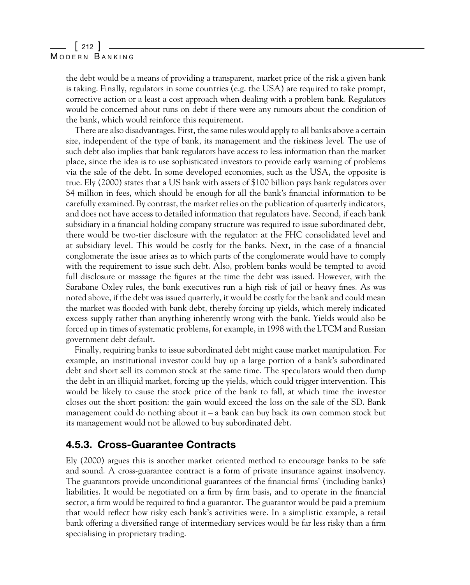#### [ <sup>212</sup> ] M ODERN B ANKING

the debt would be a means of providing a transparent, market price of the risk a given bank is taking. Finally, regulators in some countries (e.g. the USA) are required to take prompt, corrective action or a least a cost approach when dealing with a problem bank. Regulators would be concerned about runs on debt if there were any rumours about the condition of the bank, which would reinforce this requirement.

There are also disadvantages. First, the same rules would apply to all banks above a certain size, independent of the type of bank, its management and the riskiness level. The use of such debt also implies that bank regulators have access to less information than the market place, since the idea is to use sophisticated investors to provide early warning of problems via the sale of the debt. In some developed economies, such as the USA, the opposite is true. Ely (2000) states that a US bank with assets of \$100 billion pays bank regulators over \$4 million in fees, which should be enough for all the bank's financial information to be carefully examined. By contrast, the market relies on the publication of quarterly indicators, and does not have access to detailed information that regulators have. Second, if each bank subsidiary in a financial holding company structure was required to issue subordinated debt, there would be two-tier disclosure with the regulator: at the FHC consolidated level and at subsidiary level. This would be costly for the banks. Next, in the case of a financial conglomerate the issue arises as to which parts of the conglomerate would have to comply with the requirement to issue such debt. Also, problem banks would be tempted to avoid full disclosure or massage the figures at the time the debt was issued. However, with the Sarabane Oxley rules, the bank executives run a high risk of jail or heavy fines. As was noted above, if the debt was issued quarterly, it would be costly for the bank and could mean the market was flooded with bank debt, thereby forcing up yields, which merely indicated excess supply rather than anything inherently wrong with the bank. Yields would also be forced up in times of systematic problems, for example, in 1998 with the LTCM and Russian government debt default.

Finally, requiring banks to issue subordinated debt might cause market manipulation. For example, an institutional investor could buy up a large portion of a bank's subordinated debt and short sell its common stock at the same time. The speculators would then dump the debt in an illiquid market, forcing up the yields, which could trigger intervention. This would be likely to cause the stock price of the bank to fall, at which time the investor closes out the short position: the gain would exceed the loss on the sale of the SD. Bank management could do nothing about it – a bank can buy back its own common stock but its management would not be allowed to buy subordinated debt.

### **4.5.3. Cross-Guarantee Contracts**

Ely (2000) argues this is another market oriented method to encourage banks to be safe and sound. A cross-guarantee contract is a form of private insurance against insolvency. The guarantors provide unconditional guarantees of the financial firms' (including banks) liabilities. It would be negotiated on a firm by firm basis, and to operate in the financial sector, a firm would be required to find a guarantor. The guarantor would be paid a premium that would reflect how risky each bank's activities were. In a simplistic example, a retail bank offering a diversified range of intermediary services would be far less risky than a firm specialising in proprietary trading.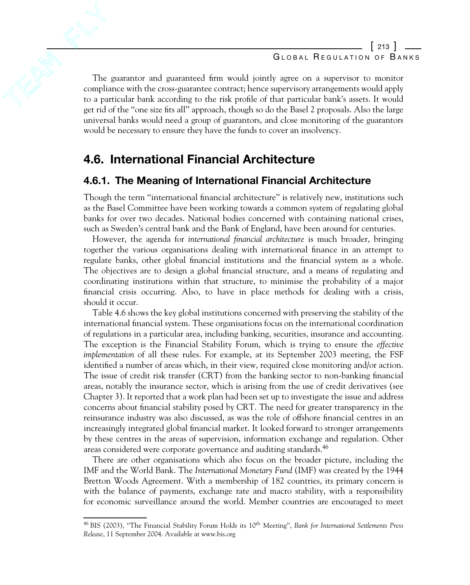[ <sup>213</sup> ] GLOBAL REGULATION OF BANKS

The guarantor and guaranteed firm would jointly agree on a supervisor to monitor compliance with the cross-guarantee contract; hence supervisory arrangements would apply to a particular bank according to the risk profile of that particular bank's assets. It would get rid of the ''one size fits all'' approach, though so do the Basel 2 proposals. Also the large

universal banks would need a group of guarantors, and close monitoring of the guarantors would be necessary to ensure they have the funds to cover an insolvency.

## **4.6. International Financial Architecture**

TEAM PARTIES

#### **4.6.1. The Meaning of International Financial Architecture**

Though the term ''international financial architecture'' is relatively new, institutions such as the Basel Committee have been working towards a common system of regulating global banks for over two decades. National bodies concerned with containing national crises, such as Sweden's central bank and the Bank of England, have been around for centuries.

However, the agenda for *international financial architecture* is much broader, bringing together the various organisations dealing with international finance in an attempt to regulate banks, other global financial institutions and the financial system as a whole. The objectives are to design a global financial structure, and a means of regulating and coordinating institutions within that structure, to minimise the probability of a major financial crisis occurring. Also, to have in place methods for dealing with a crisis, should it occur.

Table 4.6 shows the key global institutions concerned with preserving the stability of the international financial system. These organisations focus on the international coordination of regulations in a particular area, including banking, securities, insurance and accounting. The exception is the Financial Stability Forum, which is trying to ensure the *effective implementation* of all these rules. For example, at its September 2003 meeting, the FSF identified a number of areas which, in their view, required close monitoring and/or action. The issue of credit risk transfer (CRT) from the banking sector to non-banking financial areas, notably the insurance sector, which is arising from the use of credit derivatives (see Chapter 3). It reported that a work plan had been set up to investigate the issue and address concerns about financial stability posed by CRT. The need for greater transparency in the reinsurance industry was also discussed, as was the role of offshore financial centres in an increasingly integrated global financial market. It looked forward to stronger arrangements by these centres in the areas of supervision, information exchange and regulation. Other areas considered were corporate governance and auditing standards.46

There are other organisations which also focus on the broader picture, including the IMF and the World Bank. The *International Monetary Fund* (IMF) was created by the 1944 Bretton Woods Agreement. With a membership of 182 countries, its primary concern is with the balance of payments, exchange rate and macro stability, with a responsibility for economic surveillance around the world. Member countries are encouraged to meet

<sup>&</sup>lt;sup>46</sup> BIS (2003), "The Financial Stability Forum Holds its 10<sup>th</sup> Meeting", *Bank for International Settlements Press Release*, 11 September 2004. Available at www.bis.org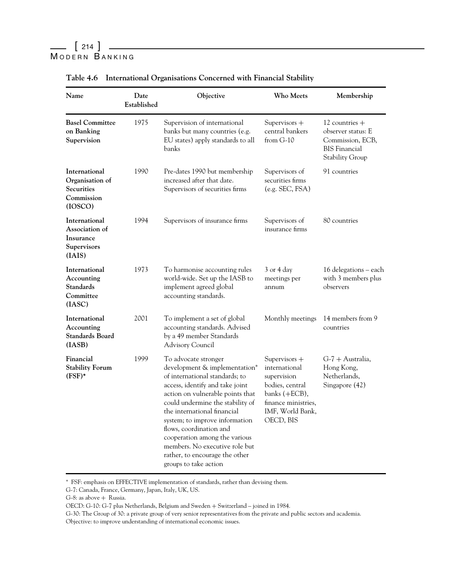#### [ <sup>214</sup> ] MODERN BANKING

| Name                                                                           | Date<br>Established | Objective                                                                                                                                                                                                                                                                                                                                                                                                                    | <b>Who Meets</b>                                                                                                                               | Membership                                                                                                   |  |
|--------------------------------------------------------------------------------|---------------------|------------------------------------------------------------------------------------------------------------------------------------------------------------------------------------------------------------------------------------------------------------------------------------------------------------------------------------------------------------------------------------------------------------------------------|------------------------------------------------------------------------------------------------------------------------------------------------|--------------------------------------------------------------------------------------------------------------|--|
| <b>Basel Committee</b><br>on Banking<br>Supervision                            | 1975                | Supervision of international<br>banks but many countries (e.g.<br>EU states) apply standards to all<br>banks                                                                                                                                                                                                                                                                                                                 | $Supervisors +$<br>central bankers<br>from $G-10$                                                                                              | 12 countries $+$<br>observer status: E<br>Commission, ECB,<br><b>BIS</b> Financial<br><b>Stability Group</b> |  |
| International<br>Organisation of<br><b>Securities</b><br>Commission<br>(IOSCO) | 1990                | Pre-dates 1990 but membership<br>increased after that date.<br>Supervisors of securities firms                                                                                                                                                                                                                                                                                                                               | Supervisors of<br>securities firms<br>(e.g. SEC, FSA)                                                                                          | 91 countries                                                                                                 |  |
| International<br>Association of<br>Insurance<br>Supervisors<br>(IAIS)          | 1994                | Supervisors of insurance firms                                                                                                                                                                                                                                                                                                                                                                                               | Supervisors of<br>insurance firms                                                                                                              | 80 countries                                                                                                 |  |
| International<br>Accounting<br><b>Standards</b><br>Committee<br>(IASC)         | 1973                | To harmonise accounting rules<br>world-wide. Set up the IASB to<br>implement agreed global<br>accounting standards.                                                                                                                                                                                                                                                                                                          | 3 or 4 day<br>meetings per<br>annum                                                                                                            | 16 delegations – each<br>with 3 members plus<br>observers                                                    |  |
| International<br>Accounting<br><b>Standards Board</b><br>(IASB)                | 2001                | To implement a set of global<br>accounting standards. Advised<br>by a 49 member Standards<br>Advisory Council                                                                                                                                                                                                                                                                                                                | Monthly meetings                                                                                                                               | 14 members from 9<br>countries                                                                               |  |
| Financial<br><b>Stability Forum</b><br>$(FSF)^*$                               | 1999                | To advocate stronger<br>development & implementation*<br>of international standards; to<br>access, identify and take joint<br>action on vulnerable points that<br>could undermine the stability of<br>the international financial<br>system; to improve information<br>flows, coordination and<br>cooperation among the various<br>members. No executive role but<br>rather, to encourage the other<br>groups to take action | $Supervisors +$<br>international<br>supervision<br>bodies, central<br>banks $(+ECB)$ ,<br>finance ministries,<br>IMF, World Bank,<br>OECD, BIS | $G-7 +$ Australia,<br>Hong Kong,<br>Netherlands,<br>Singapore (42)                                           |  |

**Table 4.6 International Organisations Concerned with Financial Stability**

<sup>∗</sup> FSF: emphasis on EFFECTIVE implementation of standards, rather than devising them.

G-30: The Group of 30: a private group of very senior representatives from the private and public sectors and academia.

Objective: to improve understanding of international economic issues.

G-7: Canada, France, Germany, Japan, Italy, UK, US.

G-8: as above + Russia.

OECD: G-10: G-7 plus Netherlands, Belgium and Sweden + Switzerland – joined in 1984.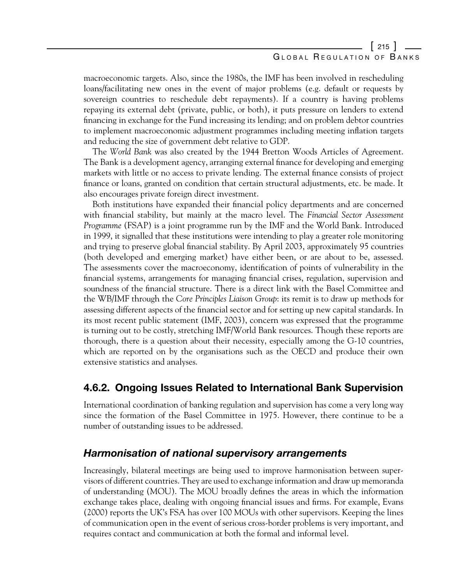#### [ <sup>215</sup> ] GLOBAL REGULATION OF BANKS

macroeconomic targets. Also, since the 1980s, the IMF has been involved in rescheduling loans/facilitating new ones in the event of major problems (e.g. default or requests by sovereign countries to reschedule debt repayments). If a country is having problems repaying its external debt (private, public, or both), it puts pressure on lenders to extend financing in exchange for the Fund increasing its lending; and on problem debtor countries to implement macroeconomic adjustment programmes including meeting inflation targets and reducing the size of government debt relative to GDP.

The *World Bank* was also created by the 1944 Bretton Woods Articles of Agreement. The Bank is a development agency, arranging external finance for developing and emerging markets with little or no access to private lending. The external finance consists of project finance or loans, granted on condition that certain structural adjustments, etc. be made. It also encourages private foreign direct investment.

Both institutions have expanded their financial policy departments and are concerned with financial stability, but mainly at the macro level. The *Financial Sector Assessment Programme* (FSAP) is a joint programme run by the IMF and the World Bank. Introduced in 1999, it signalled that these institutions were intending to play a greater role monitoring and trying to preserve global financial stability. By April 2003, approximately 95 countries (both developed and emerging market) have either been, or are about to be, assessed. The assessments cover the macroeconomy, identification of points of vulnerability in the financial systems, arrangements for managing financial crises, regulation, supervision and soundness of the financial structure. There is a direct link with the Basel Committee and the WB/IMF through the *Core Principles Liaison Group*: its remit is to draw up methods for assessing different aspects of the financial sector and for setting up new capital standards. In its most recent public statement (IMF, 2003), concern was expressed that the programme is turning out to be costly, stretching IMF/World Bank resources. Though these reports are thorough, there is a question about their necessity, especially among the G-10 countries, which are reported on by the organisations such as the OECD and produce their own extensive statistics and analyses.

## **4.6.2. Ongoing Issues Related to International Bank Supervision**

International coordination of banking regulation and supervision has come a very long way since the formation of the Basel Committee in 1975. However, there continue to be a number of outstanding issues to be addressed.

### *Harmonisation of national supervisory arrangements*

Increasingly, bilateral meetings are being used to improve harmonisation between supervisors of different countries. They are used to exchange information and draw up memoranda of understanding (MOU). The MOU broadly defines the areas in which the information exchange takes place, dealing with ongoing financial issues and firms. For example, Evans (2000) reports the UK's FSA has over 100 MOUs with other supervisors. Keeping the lines of communication open in the event of serious cross-border problems is very important, and requires contact and communication at both the formal and informal level.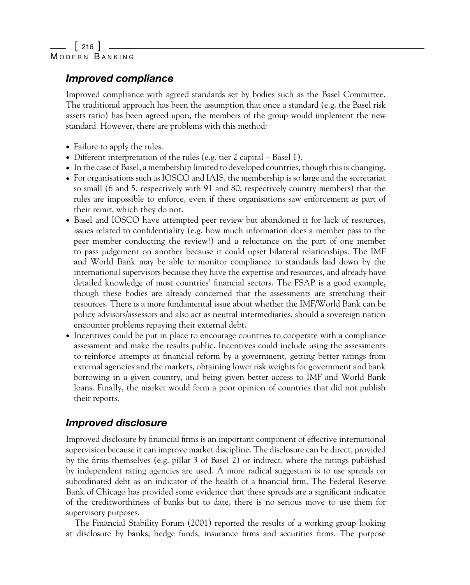### *Improved compliance*

Improved compliance with agreed standards set by bodies such as the Basel Committee. The traditional approach has been the assumption that once a standard (e.g. the Basel risk assets ratio) has been agreed upon, the members of the group would implement the new standard. However, there are problems with this method:

- Failure to apply the rules.
- Different interpretation of the rules (e.g. tier  $2$  capital Basel 1).
- In the case of Basel, a membership limited to developed countries, though this is changing.
- For organisations such as IOSCO and IAIS, the membership is so large and the secretariat so small (6 and 5, respectively with 91 and 80, respectively country members) that the rules are impossible to enforce, even if these organisations saw enforcement as part of their remit, which they do not.
- Basel and IOSCO have attempted peer review but abandoned it for lack of resources, issues related to confidentiality (e.g. how much information does a member pass to the peer member conducting the review?) and a reluctance on the part of one member to pass judgement on another because it could upset bilateral relationships. The IMF and World Bank may be able to monitor compliance to standards laid down by the international supervisors because they have the expertise and resources, and already have detailed knowledge of most countries' financial sectors. The FSAP is a good example, though these bodies are already concerned that the assessments are stretching their resources. There is a more fundamental issue about whether the IMF/World Bank can be policy advisors/assessors and also act as neutral intermediaries, should a sovereign nation encounter problems repaying their external debt.
- Incentives could be put in place to encourage countries to cooperate with a compliance assessment and make the results public. Incentives could include using the assessments to reinforce attempts at financial reform by a government, getting better ratings from external agencies and the markets, obtaining lower risk weights for government and bank borrowing in a given country, and being given better access to IMF and World Bank loans. Finally, the market would form a poor opinion of countries that did not publish their reports.

## *Improved disclosure*

Improved disclosure by financial firms is an important component of effective international supervision because it can improve market discipline. The disclosure can be direct, provided by the firms themselves (e.g. pillar 3 of Basel 2) or indirect, where the ratings published by independent rating agencies are used. A more radical suggestion is to use spreads on subordinated debt as an indicator of the health of a financial firm. The Federal Reserve Bank of Chicago has provided some evidence that these spreads are a significant indicator of the creditworthiness of banks but to date, there is no serious move to use them for supervisory purposes.

The Financial Stability Forum (2001) reported the results of a working group looking at disclosure by banks, hedge funds, insurance firms and securities firms. The purpose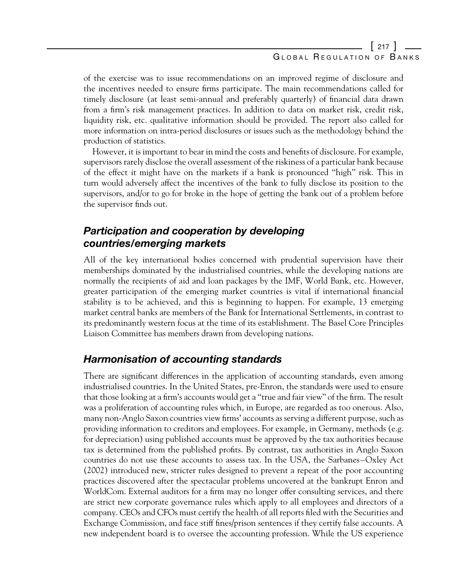### [ <sup>217</sup> ] GLOBAL REGULATION OF BANKS

of the exercise was to issue recommendations on an improved regime of disclosure and the incentives needed to ensure firms participate. The main recommendations called for timely disclosure (at least semi-annual and preferably quarterly) of financial data drawn from a firm's risk management practices. In addition to data on market risk, credit risk, liquidity risk, etc. qualitative information should be provided. The report also called for more information on intra-period disclosures or issues such as the methodology behind the production of statistics.

However, it is important to bear in mind the costs and benefits of disclosure. For example, supervisors rarely disclose the overall assessment of the riskiness of a particular bank because of the effect it might have on the markets if a bank is pronounced ''high'' risk. This in turn would adversely affect the incentives of the bank to fully disclose its position to the supervisors, and/or to go for broke in the hope of getting the bank out of a problem before the supervisor finds out.

### *Participation and cooperation by developing countries/emerging markets*

All of the key international bodies concerned with prudential supervision have their memberships dominated by the industrialised countries, while the developing nations are normally the recipients of aid and loan packages by the IMF, World Bank, etc. However, greater participation of the emerging market countries is vital if international financial stability is to be achieved, and this is beginning to happen. For example, 13 emerging market central banks are members of the Bank for International Settlements, in contrast to its predominantly western focus at the time of its establishment. The Basel Core Principles Liaison Committee has members drawn from developing nations.

### *Harmonisation of accounting standards*

There are significant differences in the application of accounting standards, even among industrialised countries. In the United States, pre-Enron, the standards were used to ensure that those looking at a firm's accounts would get a ''true and fair view'' of the firm. The result was a proliferation of accounting rules which, in Europe, are regarded as too onerous. Also, many non-Anglo Saxon countries view firms' accounts as serving a different purpose, such as providing information to creditors and employees. For example, in Germany, methods (e.g. for depreciation) using published accounts must be approved by the tax authorities because tax is determined from the published profits. By contrast, tax authorities in Anglo Saxon countries do not use these accounts to assess tax. In the USA, the Sarbanes–Oxley Act (2002) introduced new, stricter rules designed to prevent a repeat of the poor accounting practices discovered after the spectacular problems uncovered at the bankrupt Enron and WorldCom. External auditors for a firm may no longer offer consulting services, and there are strict new corporate governance rules which apply to all employees and directors of a company. CEOs and CFOs must certify the health of all reports filed with the Securities and Exchange Commission, and face stiff fines/prison sentences if they certify false accounts. A new independent board is to oversee the accounting profession. While the US experience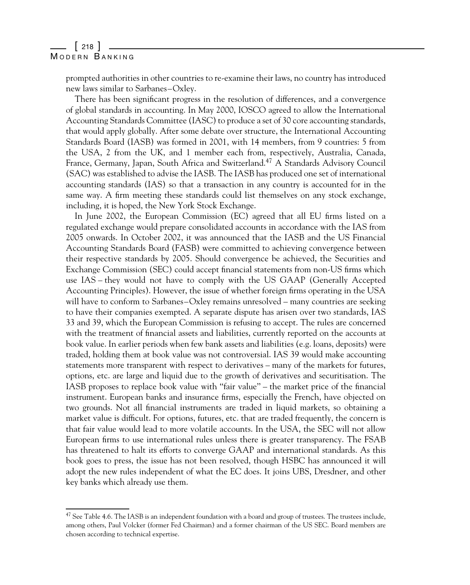#### [ <sup>218</sup> ] M ODERN B ANKING

prompted authorities in other countries to re-examine their laws, no country has introduced new laws similar to Sarbanes–Oxley.

There has been significant progress in the resolution of differences, and a convergence of global standards in accounting. In May 2000, IOSCO agreed to allow the International Accounting Standards Committee (IASC) to produce a set of 30 core accounting standards, that would apply globally. After some debate over structure, the International Accounting Standards Board (IASB) was formed in 2001, with 14 members, from 9 countries: 5 from the USA, 2 from the UK, and 1 member each from, respectively, Australia, Canada, France, Germany, Japan, South Africa and Switzerland.<sup>47</sup> A Standards Advisory Council (SAC) was established to advise the IASB. The IASB has produced one set of international accounting standards (IAS) so that a transaction in any country is accounted for in the same way. A firm meeting these standards could list themselves on any stock exchange, including, it is hoped, the New York Stock Exchange.

In June 2002, the European Commission (EC) agreed that all EU firms listed on a regulated exchange would prepare consolidated accounts in accordance with the IAS from 2005 onwards. In October 2002, it was announced that the IASB and the US Financial Accounting Standards Board (FASB) were committed to achieving convergence between their respective standards by 2005. Should convergence be achieved, the Securities and Exchange Commission (SEC) could accept financial statements from non-US firms which use IAS – they would not have to comply with the US GAAP (Generally Accepted Accounting Principles). However, the issue of whether foreign firms operating in the USA will have to conform to Sarbanes–Oxley remains unresolved – many countries are seeking to have their companies exempted. A separate dispute has arisen over two standards, IAS 33 and 39, which the European Commission is refusing to accept. The rules are concerned with the treatment of financial assets and liabilities, currently reported on the accounts at book value. In earlier periods when few bank assets and liabilities (e.g. loans, deposits) were traded, holding them at book value was not controversial. IAS 39 would make accounting statements more transparent with respect to derivatives – many of the markets for futures, options, etc. are large and liquid due to the growth of derivatives and securitisation. The IASB proposes to replace book value with ''fair value'' – the market price of the financial instrument. European banks and insurance firms, especially the French, have objected on two grounds. Not all financial instruments are traded in liquid markets, so obtaining a market value is difficult. For options, futures, etc. that are traded frequently, the concern is that fair value would lead to more volatile accounts. In the USA, the SEC will not allow European firms to use international rules unless there is greater transparency. The FSAB has threatened to halt its efforts to converge GAAP and international standards. As this book goes to press, the issue has not been resolved, though HSBC has announced it will adopt the new rules independent of what the EC does. It joins UBS, Dresdner, and other key banks which already use them.

<sup>&</sup>lt;sup>47</sup> See Table 4.6. The IASB is an independent foundation with a board and group of trustees. The trustees include, among others, Paul Volcker (former Fed Chairman) and a former chairman of the US SEC. Board members are chosen according to technical expertise.